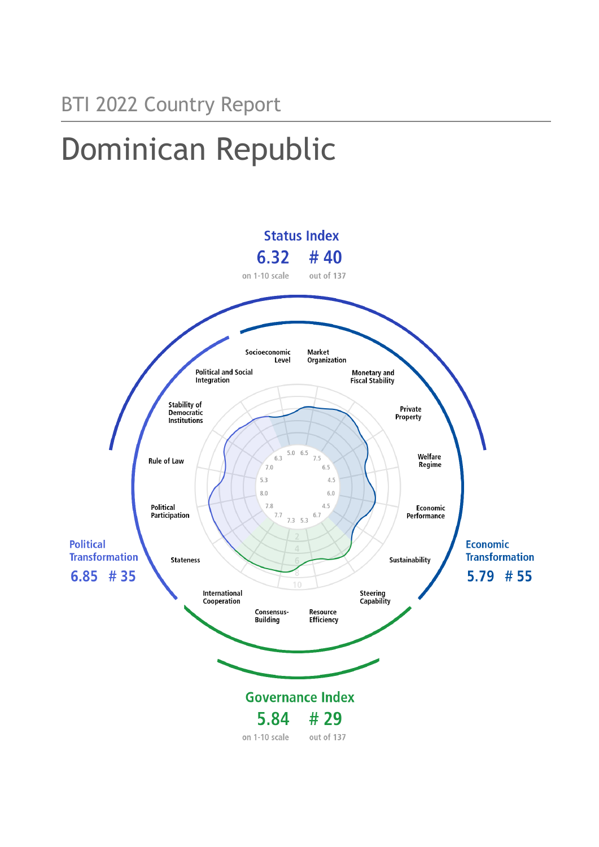# Dominican Republic

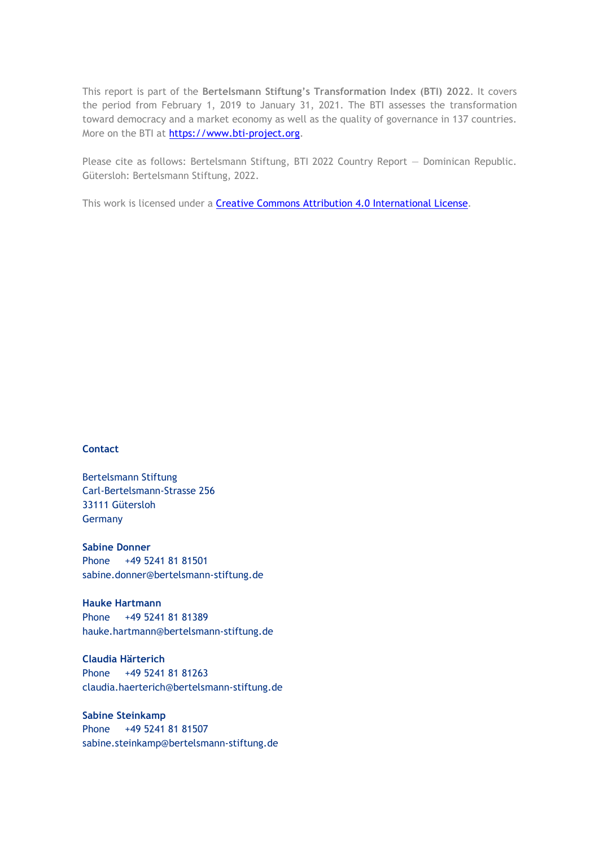This report is part of the **Bertelsmann Stiftung's Transformation Index (BTI) 2022**. It covers the period from February 1, 2019 to January 31, 2021. The BTI assesses the transformation toward democracy and a market economy as well as the quality of governance in 137 countries. More on the BTI at [https://www.bti-project.org.](https://www.bti-project.org/)

Please cite as follows: Bertelsmann Stiftung, BTI 2022 Country Report — Dominican Republic. Gütersloh: Bertelsmann Stiftung, 2022.

This work is licensed under a **Creative Commons Attribution 4.0 International License**.

#### **Contact**

Bertelsmann Stiftung Carl-Bertelsmann-Strasse 256 33111 Gütersloh Germany

**Sabine Donner** Phone +49 5241 81 81501 sabine.donner@bertelsmann-stiftung.de

**Hauke Hartmann** Phone +49 5241 81 81389 hauke.hartmann@bertelsmann-stiftung.de

**Claudia Härterich** Phone +49 5241 81 81263 claudia.haerterich@bertelsmann-stiftung.de

**Sabine Steinkamp** Phone +49 5241 81 81507 sabine.steinkamp@bertelsmann-stiftung.de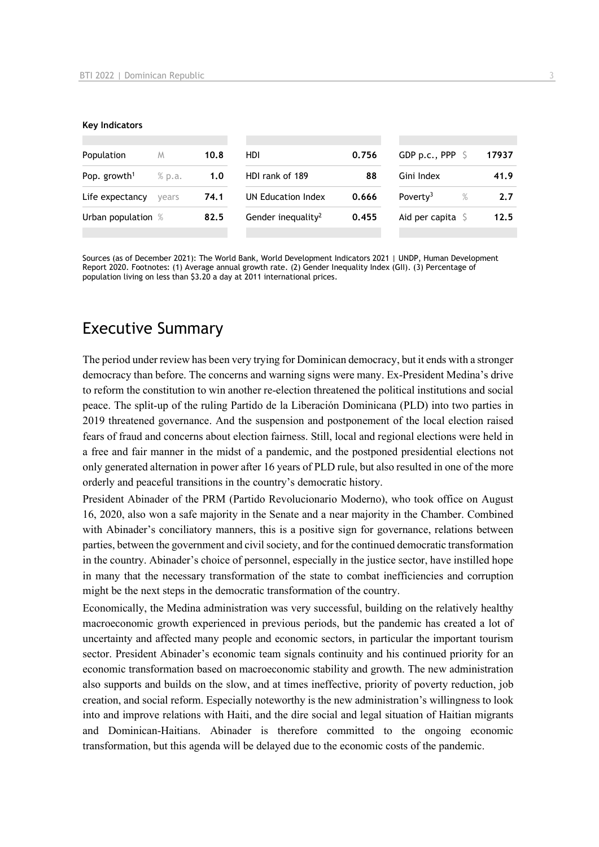#### **Key Indicators**

| Population               | M      | 10.8 | HDI.                           | 0.756 | GDP p.c., PPP                | 17937 |
|--------------------------|--------|------|--------------------------------|-------|------------------------------|-------|
| Pop. growth <sup>1</sup> | % p.a. | 1.0  | HDI rank of 189                | 88    | Gini Index                   | 41.9  |
| Life expectancy          | vears  | 74.1 | UN Education Index             | 0.666 | Poverty <sup>3</sup><br>$\%$ | 2.7   |
| Urban population %       |        | 82.5 | Gender inequality <sup>2</sup> | 0.455 | Aid per capita               | 12.5  |
|                          |        |      |                                |       |                              |       |

Sources (as of December 2021): The World Bank, World Development Indicators 2021 | UNDP, Human Development Report 2020. Footnotes: (1) Average annual growth rate. (2) Gender Inequality Index (GII). (3) Percentage of population living on less than \$3.20 a day at 2011 international prices.

# Executive Summary

The period under review has been very trying for Dominican democracy, but it ends with a stronger democracy than before. The concerns and warning signs were many. Ex-President Medina's drive to reform the constitution to win another re-election threatened the political institutions and social peace. The split-up of the ruling Partido de la Liberación Dominicana (PLD) into two parties in 2019 threatened governance. And the suspension and postponement of the local election raised fears of fraud and concerns about election fairness. Still, local and regional elections were held in a free and fair manner in the midst of a pandemic, and the postponed presidential elections not only generated alternation in power after 16 years of PLD rule, but also resulted in one of the more orderly and peaceful transitions in the country's democratic history.

President Abinader of the PRM (Partido Revolucionario Moderno), who took office on August 16, 2020, also won a safe majority in the Senate and a near majority in the Chamber. Combined with Abinader's conciliatory manners, this is a positive sign for governance, relations between parties, between the government and civil society, and for the continued democratic transformation in the country. Abinader's choice of personnel, especially in the justice sector, have instilled hope in many that the necessary transformation of the state to combat inefficiencies and corruption might be the next steps in the democratic transformation of the country.

Economically, the Medina administration was very successful, building on the relatively healthy macroeconomic growth experienced in previous periods, but the pandemic has created a lot of uncertainty and affected many people and economic sectors, in particular the important tourism sector. President Abinader's economic team signals continuity and his continued priority for an economic transformation based on macroeconomic stability and growth. The new administration also supports and builds on the slow, and at times ineffective, priority of poverty reduction, job creation, and social reform. Especially noteworthy is the new administration's willingness to look into and improve relations with Haiti, and the dire social and legal situation of Haitian migrants and Dominican-Haitians. Abinader is therefore committed to the ongoing economic transformation, but this agenda will be delayed due to the economic costs of the pandemic.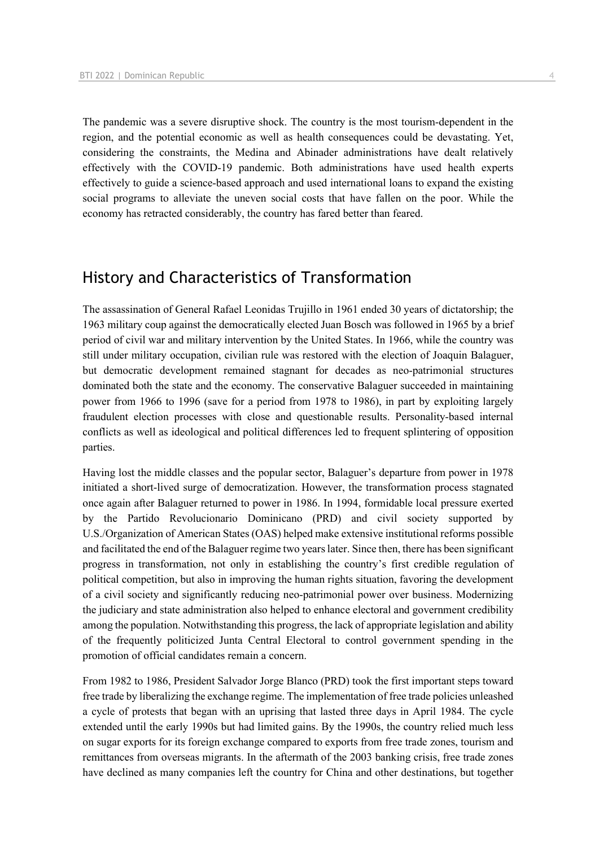The pandemic was a severe disruptive shock. The country is the most tourism-dependent in the region, and the potential economic as well as health consequences could be devastating. Yet, considering the constraints, the Medina and Abinader administrations have dealt relatively effectively with the COVID-19 pandemic. Both administrations have used health experts effectively to guide a science-based approach and used international loans to expand the existing social programs to alleviate the uneven social costs that have fallen on the poor. While the economy has retracted considerably, the country has fared better than feared.

# History and Characteristics of Transformation

The assassination of General Rafael Leonidas Trujillo in 1961 ended 30 years of dictatorship; the 1963 military coup against the democratically elected Juan Bosch was followed in 1965 by a brief period of civil war and military intervention by the United States. In 1966, while the country was still under military occupation, civilian rule was restored with the election of Joaquin Balaguer, but democratic development remained stagnant for decades as neo-patrimonial structures dominated both the state and the economy. The conservative Balaguer succeeded in maintaining power from 1966 to 1996 (save for a period from 1978 to 1986), in part by exploiting largely fraudulent election processes with close and questionable results. Personality-based internal conflicts as well as ideological and political differences led to frequent splintering of opposition parties.

Having lost the middle classes and the popular sector, Balaguer's departure from power in 1978 initiated a short-lived surge of democratization. However, the transformation process stagnated once again after Balaguer returned to power in 1986. In 1994, formidable local pressure exerted by the Partido Revolucionario Dominicano (PRD) and civil society supported by U.S./Organization of American States (OAS) helped make extensive institutional reforms possible and facilitated the end of the Balaguer regime two years later. Since then, there has been significant progress in transformation, not only in establishing the country's first credible regulation of political competition, but also in improving the human rights situation, favoring the development of a civil society and significantly reducing neo-patrimonial power over business. Modernizing the judiciary and state administration also helped to enhance electoral and government credibility among the population. Notwithstanding this progress, the lack of appropriate legislation and ability of the frequently politicized Junta Central Electoral to control government spending in the promotion of official candidates remain a concern.

From 1982 to 1986, President Salvador Jorge Blanco (PRD) took the first important steps toward free trade by liberalizing the exchange regime. The implementation of free trade policies unleashed a cycle of protests that began with an uprising that lasted three days in April 1984. The cycle extended until the early 1990s but had limited gains. By the 1990s, the country relied much less on sugar exports for its foreign exchange compared to exports from free trade zones, tourism and remittances from overseas migrants. In the aftermath of the 2003 banking crisis, free trade zones have declined as many companies left the country for China and other destinations, but together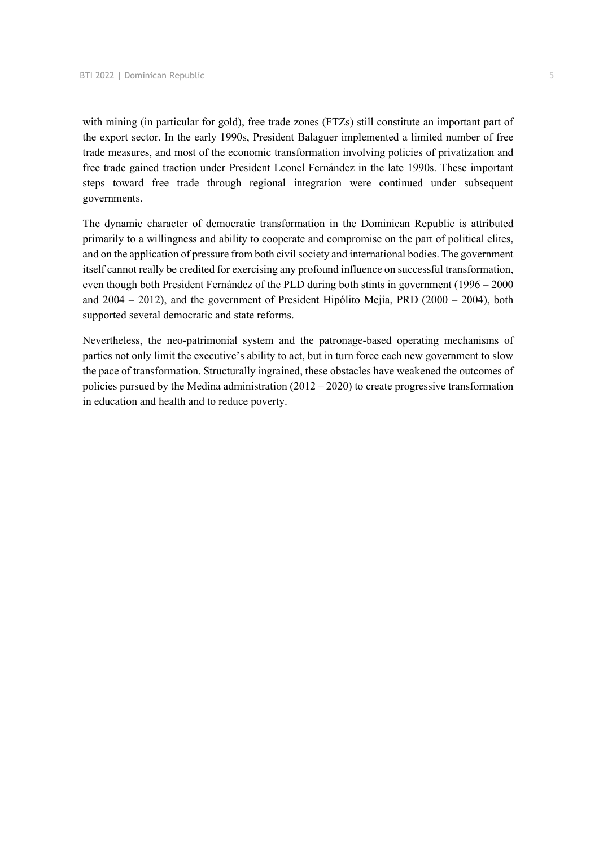with mining (in particular for gold), free trade zones (FTZs) still constitute an important part of the export sector. In the early 1990s, President Balaguer implemented a limited number of free trade measures, and most of the economic transformation involving policies of privatization and free trade gained traction under President Leonel Fernández in the late 1990s. These important steps toward free trade through regional integration were continued under subsequent governments.

The dynamic character of democratic transformation in the Dominican Republic is attributed primarily to a willingness and ability to cooperate and compromise on the part of political elites, and on the application of pressure from both civil society and international bodies. The government itself cannot really be credited for exercising any profound influence on successful transformation, even though both President Fernández of the PLD during both stints in government (1996 – 2000 and 2004 – 2012), and the government of President Hipólito Mejía, PRD (2000 – 2004), both supported several democratic and state reforms.

Nevertheless, the neo-patrimonial system and the patronage-based operating mechanisms of parties not only limit the executive's ability to act, but in turn force each new government to slow the pace of transformation. Structurally ingrained, these obstacles have weakened the outcomes of policies pursued by the Medina administration (2012 – 2020) to create progressive transformation in education and health and to reduce poverty.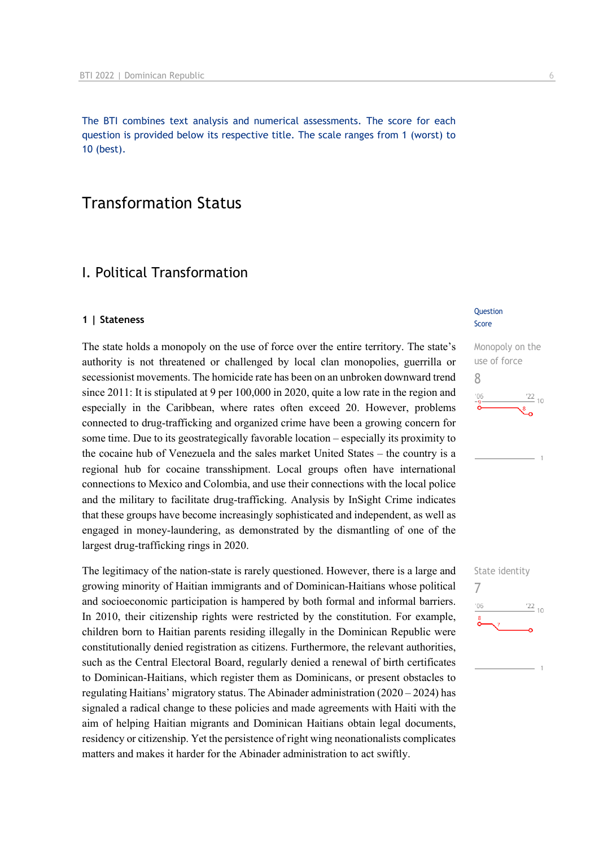The BTI combines text analysis and numerical assessments. The score for each question is provided below its respective title. The scale ranges from 1 (worst) to 10 (best).

# Transformation Status

# I. Political Transformation

#### **1 | Stateness**

The state holds a monopoly on the use of force over the entire territory. The state's authority is not threatened or challenged by local clan monopolies, guerrilla or secessionist movements. The homicide rate has been on an unbroken downward trend since 2011: It is stipulated at 9 per 100,000 in 2020, quite a low rate in the region and especially in the Caribbean, where rates often exceed 20. However, problems connected to drug-trafficking and organized crime have been a growing concern for some time. Due to its geostrategically favorable location – especially its proximity to the cocaine hub of Venezuela and the sales market United States – the country is a regional hub for cocaine transshipment. Local groups often have international connections to Mexico and Colombia, and use their connections with the local police and the military to facilitate drug-trafficking. Analysis by InSight Crime indicates that these groups have become increasingly sophisticated and independent, as well as engaged in money-laundering, as demonstrated by the dismantling of one of the largest drug-trafficking rings in 2020.

The legitimacy of the nation-state is rarely questioned. However, there is a large and growing minority of Haitian immigrants and of Dominican-Haitians whose political and socioeconomic participation is hampered by both formal and informal barriers. In 2010, their citizenship rights were restricted by the constitution. For example, children born to Haitian parents residing illegally in the Dominican Republic were constitutionally denied registration as citizens. Furthermore, the relevant authorities, such as the Central Electoral Board, regularly denied a renewal of birth certificates to Dominican-Haitians, which register them as Dominicans, or present obstacles to regulating Haitians' migratory status. The Abinader administration (2020 – 2024) has signaled a radical change to these policies and made agreements with Haiti with the aim of helping Haitian migrants and Dominican Haitians obtain legal documents, residency or citizenship. Yet the persistence of right wing neonationalists complicates matters and makes it harder for the Abinader administration to act swiftly.

#### **Question** Score



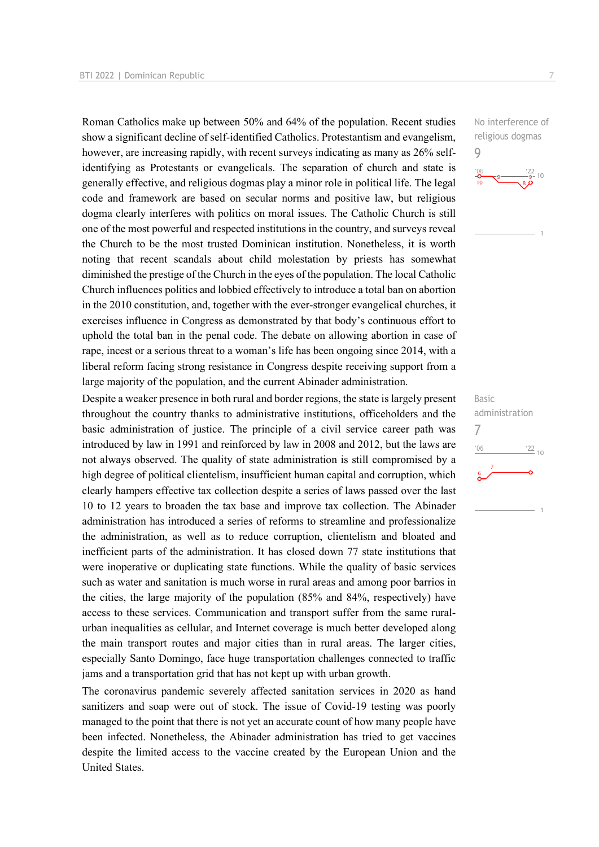Roman Catholics make up between 50% and 64% of the population. Recent studies show a significant decline of self-identified Catholics. Protestantism and evangelism, however, are increasing rapidly, with recent surveys indicating as many as 26% selfidentifying as Protestants or evangelicals. The separation of church and state is generally effective, and religious dogmas play a minor role in political life. The legal code and framework are based on secular norms and positive law, but religious dogma clearly interferes with politics on moral issues. The Catholic Church is still one of the most powerful and respected institutions in the country, and surveys reveal the Church to be the most trusted Dominican institution. Nonetheless, it is worth noting that recent scandals about child molestation by priests has somewhat diminished the prestige of the Church in the eyes of the population. The local Catholic Church influences politics and lobbied effectively to introduce a total ban on abortion in the 2010 constitution, and, together with the ever-stronger evangelical churches, it exercises influence in Congress as demonstrated by that body's continuous effort to uphold the total ban in the penal code. The debate on allowing abortion in case of rape, incest or a serious threat to a woman's life has been ongoing since 2014, with a liberal reform facing strong resistance in Congress despite receiving support from a large majority of the population, and the current Abinader administration.

Despite a weaker presence in both rural and border regions, the state is largely present throughout the country thanks to administrative institutions, officeholders and the basic administration of justice. The principle of a civil service career path was introduced by law in 1991 and reinforced by law in 2008 and 2012, but the laws are not always observed. The quality of state administration is still compromised by a high degree of political clientelism, insufficient human capital and corruption, which clearly hampers effective tax collection despite a series of laws passed over the last 10 to 12 years to broaden the tax base and improve tax collection. The Abinader administration has introduced a series of reforms to streamline and professionalize the administration, as well as to reduce corruption, clientelism and bloated and inefficient parts of the administration. It has closed down 77 state institutions that were inoperative or duplicating state functions. While the quality of basic services such as water and sanitation is much worse in rural areas and among poor barrios in the cities, the large majority of the population (85% and 84%, respectively) have access to these services. Communication and transport suffer from the same ruralurban inequalities as cellular, and Internet coverage is much better developed along the main transport routes and major cities than in rural areas. The larger cities, especially Santo Domingo, face huge transportation challenges connected to traffic jams and a transportation grid that has not kept up with urban growth.

The coronavirus pandemic severely affected sanitation services in 2020 as hand sanitizers and soap were out of stock. The issue of Covid-19 testing was poorly managed to the point that there is not yet an accurate count of how many people have been infected. Nonetheless, the Abinader administration has tried to get vaccines despite the limited access to the vaccine created by the European Union and the United States.

No interference of religious dogmas

9



Basic administration 7 $\frac{22}{10}$  $'06$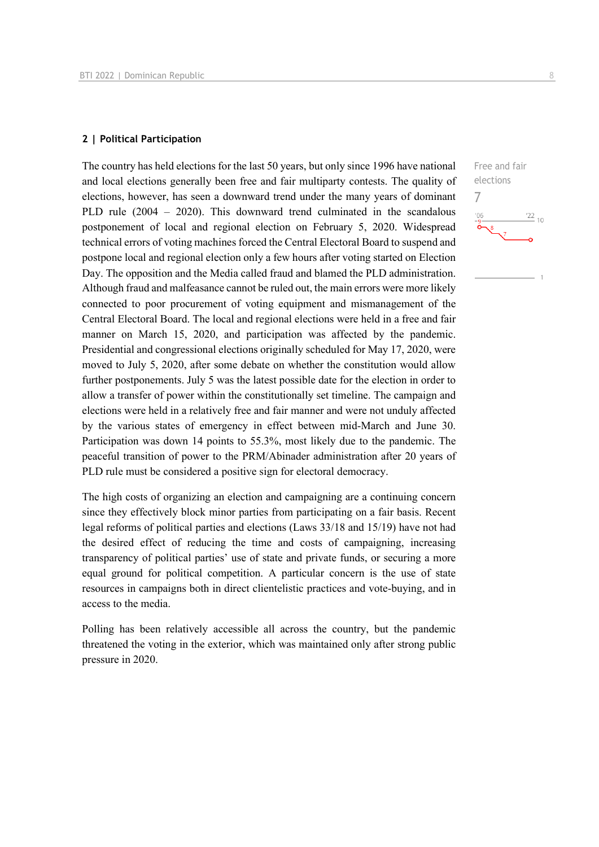#### **2 | Political Participation**

The country has held elections for the last 50 years, but only since 1996 have national and local elections generally been free and fair multiparty contests. The quality of elections, however, has seen a downward trend under the many years of dominant PLD rule (2004 – 2020). This downward trend culminated in the scandalous postponement of local and regional election on February 5, 2020. Widespread technical errors of voting machines forced the Central Electoral Board to suspend and postpone local and regional election only a few hours after voting started on Election Day. The opposition and the Media called fraud and blamed the PLD administration. Although fraud and malfeasance cannot be ruled out, the main errors were more likely connected to poor procurement of voting equipment and mismanagement of the Central Electoral Board. The local and regional elections were held in a free and fair manner on March 15, 2020, and participation was affected by the pandemic. Presidential and congressional elections originally scheduled for May 17, 2020, were moved to July 5, 2020, after some debate on whether the constitution would allow further postponements. July 5 was the latest possible date for the election in order to allow a transfer of power within the constitutionally set timeline. The campaign and elections were held in a relatively free and fair manner and were not unduly affected by the various states of emergency in effect between mid-March and June 30. Participation was down 14 points to 55.3%, most likely due to the pandemic. The peaceful transition of power to the PRM/Abinader administration after 20 years of PLD rule must be considered a positive sign for electoral democracy.

The high costs of organizing an election and campaigning are a continuing concern since they effectively block minor parties from participating on a fair basis. Recent legal reforms of political parties and elections (Laws 33/18 and 15/19) have not had the desired effect of reducing the time and costs of campaigning, increasing transparency of political parties' use of state and private funds, or securing a more equal ground for political competition. A particular concern is the use of state resources in campaigns both in direct clientelistic practices and vote-buying, and in access to the media.

Polling has been relatively accessible all across the country, but the pandemic threatened the voting in the exterior, which was maintained only after strong public pressure in 2020.

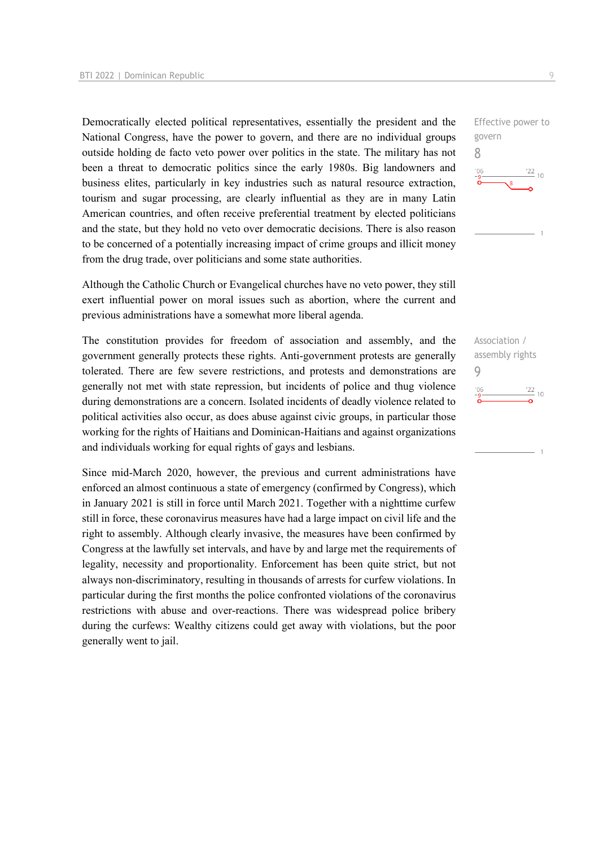Democratically elected political representatives, essentially the president and the National Congress, have the power to govern, and there are no individual groups outside holding de facto veto power over politics in the state. The military has not been a threat to democratic politics since the early 1980s. Big landowners and business elites, particularly in key industries such as natural resource extraction, tourism and sugar processing, are clearly influential as they are in many Latin American countries, and often receive preferential treatment by elected politicians and the state, but they hold no veto over democratic decisions. There is also reason to be concerned of a potentially increasing impact of crime groups and illicit money from the drug trade, over politicians and some state authorities.

Although the Catholic Church or Evangelical churches have no veto power, they still exert influential power on moral issues such as abortion, where the current and previous administrations have a somewhat more liberal agenda.

The constitution provides for freedom of association and assembly, and the government generally protects these rights. Anti-government protests are generally tolerated. There are few severe restrictions, and protests and demonstrations are generally not met with state repression, but incidents of police and thug violence during demonstrations are a concern. Isolated incidents of deadly violence related to political activities also occur, as does abuse against civic groups, in particular those working for the rights of Haitians and Dominican-Haitians and against organizations and individuals working for equal rights of gays and lesbians.

Since mid-March 2020, however, the previous and current administrations have enforced an almost continuous a state of emergency (confirmed by Congress), which in January 2021 is still in force until March 2021. Together with a nighttime curfew still in force, these coronavirus measures have had a large impact on civil life and the right to assembly. Although clearly invasive, the measures have been confirmed by Congress at the lawfully set intervals, and have by and large met the requirements of legality, necessity and proportionality. Enforcement has been quite strict, but not always non-discriminatory, resulting in thousands of arrests for curfew violations. In particular during the first months the police confronted violations of the coronavirus restrictions with abuse and over-reactions. There was widespread police bribery during the curfews: Wealthy citizens could get away with violations, but the poor generally went to jail.

Effective power to govern 8  $\frac{22}{10}$ 

Association / assembly rights 9 $\frac{22}{10}$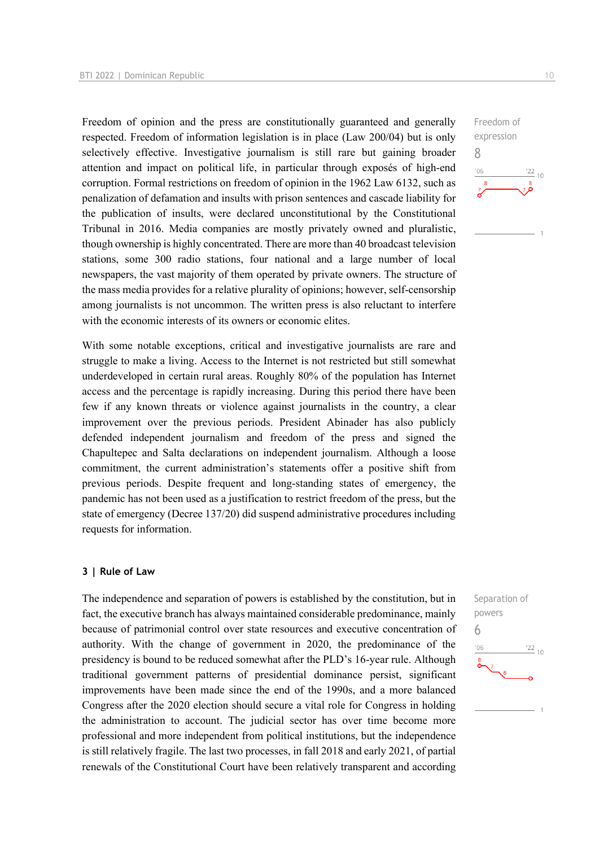Freedom of opinion and the press are constitutionally guaranteed and generally respected. Freedom of information legislation is in place (Law 200/04) but is only selectively effective. Investigative journalism is still rare but gaining broader attention and impact on political life, in particular through exposés of high-end corruption. Formal restrictions on freedom of opinion in the 1962 Law 6132, such as penalization of defamation and insults with prison sentences and cascade liability for the publication of insults, were declared unconstitutional by the Constitutional Tribunal in 2016. Media companies are mostly privately owned and pluralistic, though ownership is highly concentrated. There are more than 40 broadcast television stations, some 300 radio stations, four national and a large number of local newspapers, the vast majority of them operated by private owners. The structure of the mass media provides for a relative plurality of opinions; however, self-censorship among journalists is not uncommon. The written press is also reluctant to interfere with the economic interests of its owners or economic elites.

With some notable exceptions, critical and investigative journalists are rare and struggle to make a living. Access to the Internet is not restricted but still somewhat underdeveloped in certain rural areas. Roughly 80% of the population has Internet access and the percentage is rapidly increasing. During this period there have been few if any known threats or violence against journalists in the country, a clear improvement over the previous periods. President Abinader has also publicly defended independent journalism and freedom of the press and signed the Chapultepec and Salta declarations on independent journalism. Although a loose commitment, the current administration's statements offer a positive shift from previous periods. Despite frequent and long-standing states of emergency, the pandemic has not been used as a justification to restrict freedom of the press, but the state of emergency (Decree 137/20) did suspend administrative procedures including requests for information.

#### **3 | Rule of Law**

The independence and separation of powers is established by the constitution, but in fact, the executive branch has always maintained considerable predominance, mainly because of patrimonial control over state resources and executive concentration of authority. With the change of government in 2020, the predominance of the presidency is bound to be reduced somewhat after the PLD's 16-year rule. Although traditional government patterns of presidential dominance persist, significant improvements have been made since the end of the 1990s, and a more balanced Congress after the 2020 election should secure a vital role for Congress in holding the administration to account. The judicial sector has over time become more professional and more independent from political institutions, but the independence is still relatively fragile. The last two processes, in fall 2018 and early 2021, of partial renewals of the Constitutional Court have been relatively transparent and according

 $\frac{22}{10}$ 

Freedom of expression

Separation of powers

 $\frac{22}{10}$ 

6

 $106$ 

8

 $-06$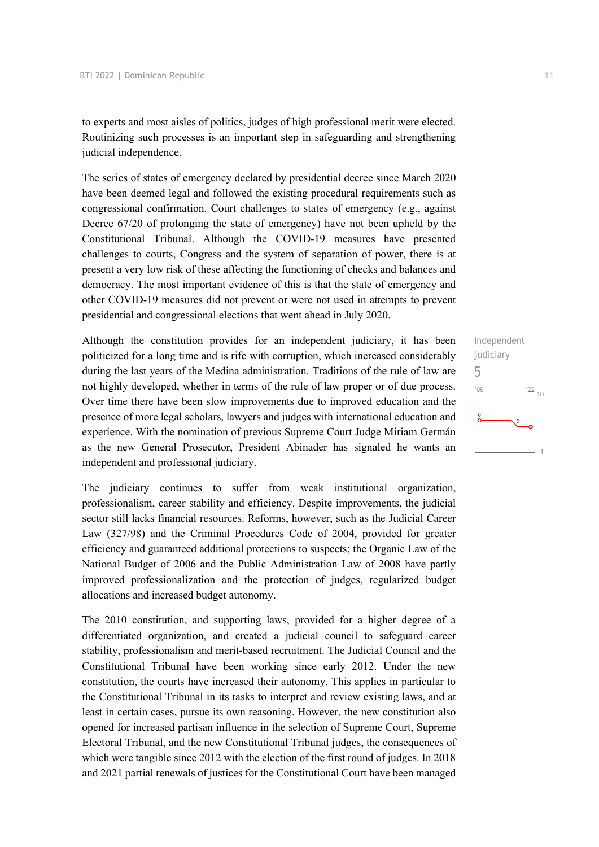to experts and most aisles of politics, judges of high professional merit were elected. Routinizing such processes is an important step in safeguarding and strengthening judicial independence.

The series of states of emergency declared by presidential decree since March 2020 have been deemed legal and followed the existing procedural requirements such as congressional confirmation. Court challenges to states of emergency (e.g., against Decree 67/20 of prolonging the state of emergency) have not been upheld by the Constitutional Tribunal. Although the COVID-19 measures have presented challenges to courts, Congress and the system of separation of power, there is at present a very low risk of these affecting the functioning of checks and balances and democracy. The most important evidence of this is that the state of emergency and other COVID-19 measures did not prevent or were not used in attempts to prevent presidential and congressional elections that went ahead in July 2020.

Although the constitution provides for an independent judiciary, it has been politicized for a long time and is rife with corruption, which increased considerably during the last years of the Medina administration. Traditions of the rule of law are not highly developed, whether in terms of the rule of law proper or of due process. Over time there have been slow improvements due to improved education and the presence of more legal scholars, lawyers and judges with international education and experience. With the nomination of previous Supreme Court Judge Miriam Germán as the new General Prosecutor, President Abinader has signaled he wants an independent and professional judiciary.

The judiciary continues to suffer from weak institutional organization, professionalism, career stability and efficiency. Despite improvements, the judicial sector still lacks financial resources. Reforms, however, such as the Judicial Career Law (327/98) and the Criminal Procedures Code of 2004, provided for greater efficiency and guaranteed additional protections to suspects; the Organic Law of the National Budget of 2006 and the Public Administration Law of 2008 have partly improved professionalization and the protection of judges, regularized budget allocations and increased budget autonomy.

The 2010 constitution, and supporting laws, provided for a higher degree of a differentiated organization, and created a judicial council to safeguard career stability, professionalism and merit-based recruitment. The Judicial Council and the Constitutional Tribunal have been working since early 2012. Under the new constitution, the courts have increased their autonomy. This applies in particular to the Constitutional Tribunal in its tasks to interpret and review existing laws, and at least in certain cases, pursue its own reasoning. However, the new constitution also opened for increased partisan influence in the selection of Supreme Court, Supreme Electoral Tribunal, and the new Constitutional Tribunal judges, the consequences of which were tangible since 2012 with the election of the first round of judges. In 2018 and 2021 partial renewals of justices for the Constitutional Court have been managed

| Independent |                 |
|-------------|-----------------|
| judiciary   |                 |
| 5           |                 |
| '06         | $\frac{22}{10}$ |
| 6           |                 |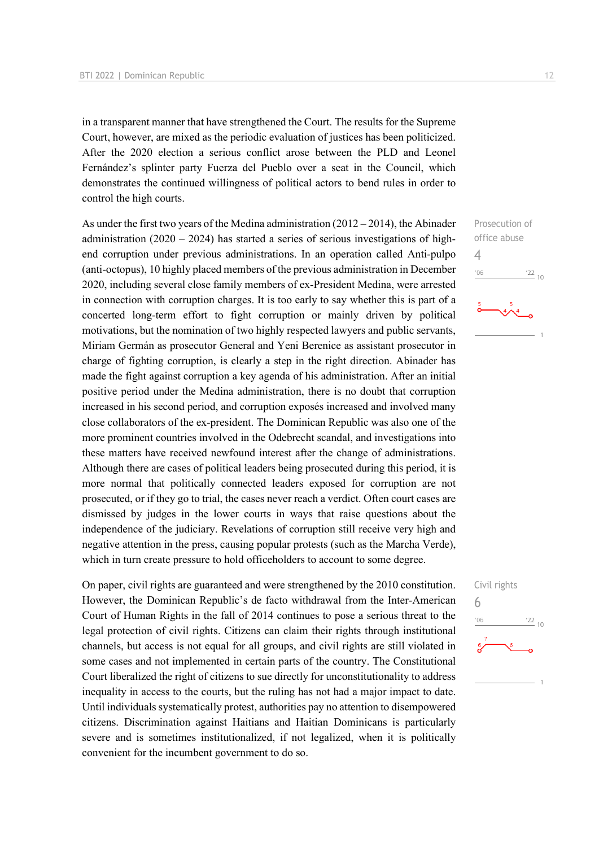in a transparent manner that have strengthened the Court. The results for the Supreme Court, however, are mixed as the periodic evaluation of justices has been politicized. After the 2020 election a serious conflict arose between the PLD and Leonel Fernández's splinter party Fuerza del Pueblo over a seat in the Council, which demonstrates the continued willingness of political actors to bend rules in order to control the high courts.

As under the first two years of the Medina administration  $(2012 - 2014)$ , the Abinader administration  $(2020 - 2024)$  has started a series of serious investigations of highend corruption under previous administrations. In an operation called Anti-pulpo (anti-octopus), 10 highly placed members of the previous administration in December 2020, including several close family members of ex-President Medina, were arrested in connection with corruption charges. It is too early to say whether this is part of a concerted long-term effort to fight corruption or mainly driven by political motivations, but the nomination of two highly respected lawyers and public servants, Miriam Germán as prosecutor General and Yeni Berenice as assistant prosecutor in charge of fighting corruption, is clearly a step in the right direction. Abinader has made the fight against corruption a key agenda of his administration. After an initial positive period under the Medina administration, there is no doubt that corruption increased in his second period, and corruption exposés increased and involved many close collaborators of the ex-president. The Dominican Republic was also one of the more prominent countries involved in the Odebrecht scandal, and investigations into these matters have received newfound interest after the change of administrations. Although there are cases of political leaders being prosecuted during this period, it is more normal that politically connected leaders exposed for corruption are not prosecuted, or if they go to trial, the cases never reach a verdict. Often court cases are dismissed by judges in the lower courts in ways that raise questions about the independence of the judiciary. Revelations of corruption still receive very high and negative attention in the press, causing popular protests (such as the Marcha Verde), which in turn create pressure to hold officeholders to account to some degree.

On paper, civil rights are guaranteed and were strengthened by the 2010 constitution. However, the Dominican Republic's de facto withdrawal from the Inter-American Court of Human Rights in the fall of 2014 continues to pose a serious threat to the legal protection of civil rights. Citizens can claim their rights through institutional channels, but access is not equal for all groups, and civil rights are still violated in some cases and not implemented in certain parts of the country. The Constitutional Court liberalized the right of citizens to sue directly for unconstitutionality to address inequality in access to the courts, but the ruling has not had a major impact to date. Until individuals systematically protest, authorities pay no attention to disempowered citizens. Discrimination against Haitians and Haitian Dominicans is particularly severe and is sometimes institutionalized, if not legalized, when it is politically convenient for the incumbent government to do so.



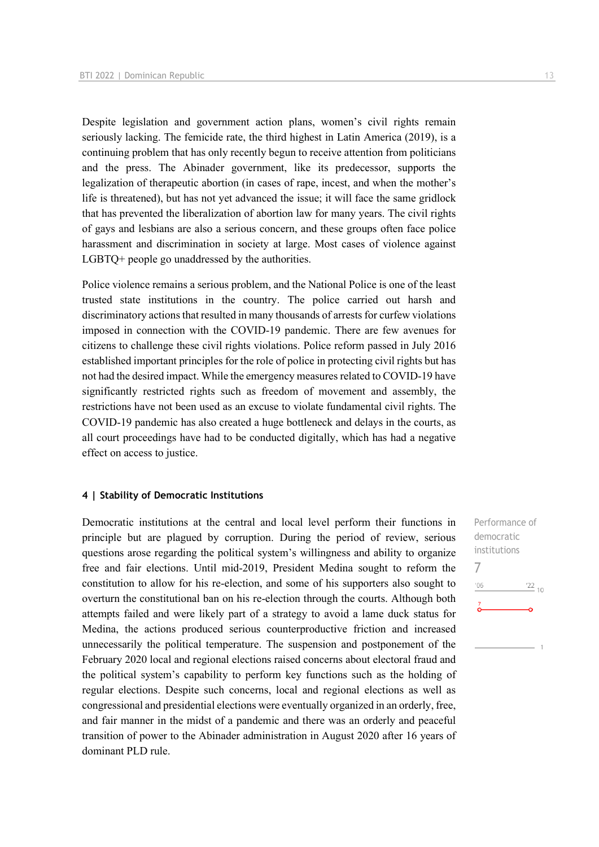Despite legislation and government action plans, women's civil rights remain seriously lacking. The femicide rate, the third highest in Latin America (2019), is a continuing problem that has only recently begun to receive attention from politicians and the press. The Abinader government, like its predecessor, supports the legalization of therapeutic abortion (in cases of rape, incest, and when the mother's life is threatened), but has not yet advanced the issue; it will face the same gridlock that has prevented the liberalization of abortion law for many years. The civil rights of gays and lesbians are also a serious concern, and these groups often face police harassment and discrimination in society at large. Most cases of violence against LGBTQ+ people go unaddressed by the authorities.

Police violence remains a serious problem, and the National Police is one of the least trusted state institutions in the country. The police carried out harsh and discriminatory actions that resulted in many thousands of arrests for curfew violations imposed in connection with the COVID-19 pandemic. There are few avenues for citizens to challenge these civil rights violations. Police reform passed in July 2016 established important principles for the role of police in protecting civil rights but has not had the desired impact. While the emergency measures related to COVID-19 have significantly restricted rights such as freedom of movement and assembly, the restrictions have not been used as an excuse to violate fundamental civil rights. The COVID-19 pandemic has also created a huge bottleneck and delays in the courts, as all court proceedings have had to be conducted digitally, which has had a negative effect on access to justice.

#### **4 | Stability of Democratic Institutions**

Democratic institutions at the central and local level perform their functions in principle but are plagued by corruption. During the period of review, serious questions arose regarding the political system's willingness and ability to organize free and fair elections. Until mid-2019, President Medina sought to reform the constitution to allow for his re-election, and some of his supporters also sought to overturn the constitutional ban on his re-election through the courts. Although both attempts failed and were likely part of a strategy to avoid a lame duck status for Medina, the actions produced serious counterproductive friction and increased unnecessarily the political temperature. The suspension and postponement of the February 2020 local and regional elections raised concerns about electoral fraud and the political system's capability to perform key functions such as the holding of regular elections. Despite such concerns, local and regional elections as well as congressional and presidential elections were eventually organized in an orderly, free, and fair manner in the midst of a pandemic and there was an orderly and peaceful transition of power to the Abinader administration in August 2020 after 16 years of dominant PLD rule.

Performance of democratic institutions 7 $^{\prime}06$  $122_{10}$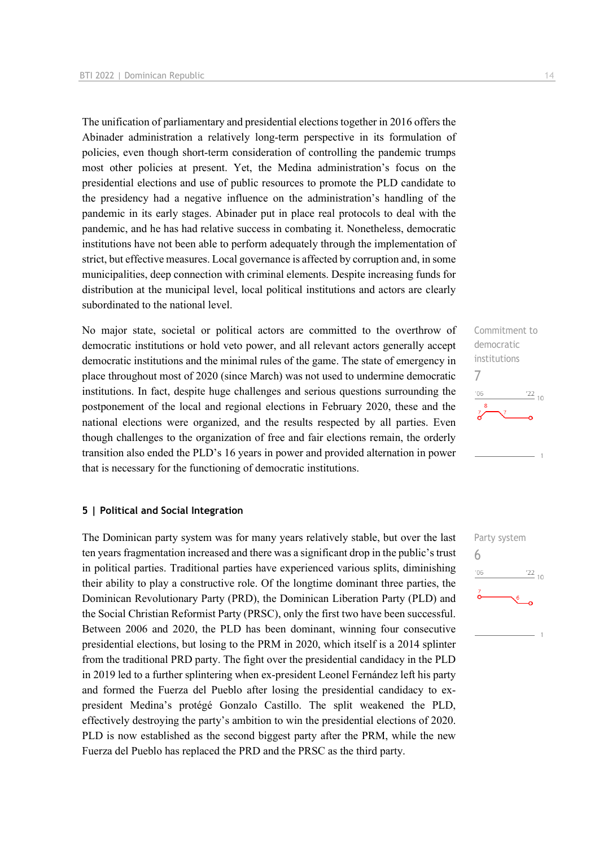The unification of parliamentary and presidential elections together in 2016 offers the Abinader administration a relatively long-term perspective in its formulation of policies, even though short-term consideration of controlling the pandemic trumps most other policies at present. Yet, the Medina administration's focus on the presidential elections and use of public resources to promote the PLD candidate to the presidency had a negative influence on the administration's handling of the pandemic in its early stages. Abinader put in place real protocols to deal with the pandemic, and he has had relative success in combating it. Nonetheless, democratic institutions have not been able to perform adequately through the implementation of strict, but effective measures. Local governance is affected by corruption and, in some municipalities, deep connection with criminal elements. Despite increasing funds for distribution at the municipal level, local political institutions and actors are clearly subordinated to the national level.

No major state, societal or political actors are committed to the overthrow of democratic institutions or hold veto power, and all relevant actors generally accept democratic institutions and the minimal rules of the game. The state of emergency in place throughout most of 2020 (since March) was not used to undermine democratic institutions. In fact, despite huge challenges and serious questions surrounding the postponement of the local and regional elections in February 2020, these and the national elections were organized, and the results respected by all parties. Even though challenges to the organization of free and fair elections remain, the orderly transition also ended the PLD's 16 years in power and provided alternation in power that is necessary for the functioning of democratic institutions.

#### **5 | Political and Social Integration**

The Dominican party system was for many years relatively stable, but over the last ten years fragmentation increased and there was a significant drop in the public's trust in political parties. Traditional parties have experienced various splits, diminishing their ability to play a constructive role. Of the longtime dominant three parties, the Dominican Revolutionary Party (PRD), the Dominican Liberation Party (PLD) and the Social Christian Reformist Party (PRSC), only the first two have been successful. Between 2006 and 2020, the PLD has been dominant, winning four consecutive presidential elections, but losing to the PRM in 2020, which itself is a 2014 splinter from the traditional PRD party. The fight over the presidential candidacy in the PLD in 2019 led to a further splintering when ex-president Leonel Fernández left his party and formed the Fuerza del Pueblo after losing the presidential candidacy to expresident Medina's protégé Gonzalo Castillo. The split weakened the PLD, effectively destroying the party's ambition to win the presidential elections of 2020. PLD is now established as the second biggest party after the PRM, while the new Fuerza del Pueblo has replaced the PRD and the PRSC as the third party.



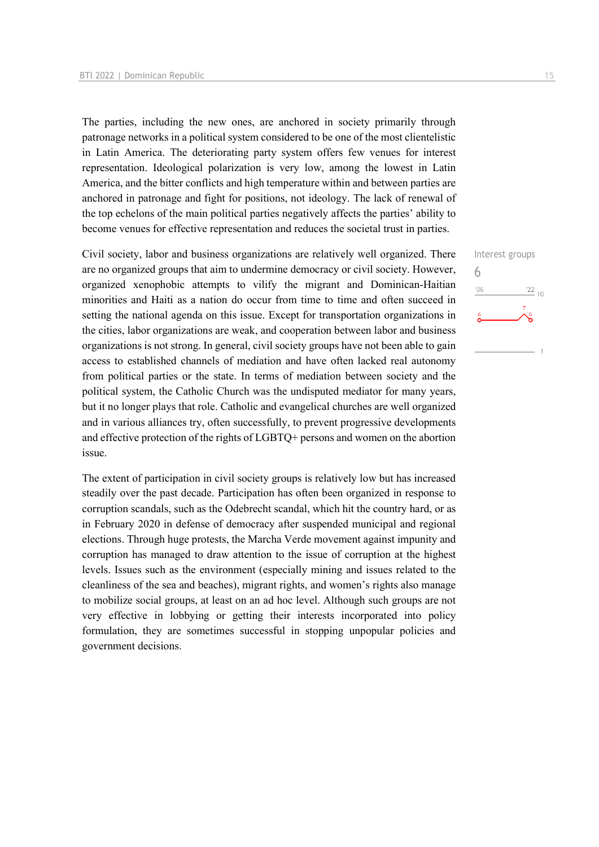The parties, including the new ones, are anchored in society primarily through patronage networks in a political system considered to be one of the most clientelistic in Latin America. The deteriorating party system offers few venues for interest representation. Ideological polarization is very low, among the lowest in Latin America, and the bitter conflicts and high temperature within and between parties are anchored in patronage and fight for positions, not ideology. The lack of renewal of the top echelons of the main political parties negatively affects the parties' ability to become venues for effective representation and reduces the societal trust in parties.

Civil society, labor and business organizations are relatively well organized. There are no organized groups that aim to undermine democracy or civil society. However, organized xenophobic attempts to vilify the migrant and Dominican-Haitian minorities and Haiti as a nation do occur from time to time and often succeed in setting the national agenda on this issue. Except for transportation organizations in the cities, labor organizations are weak, and cooperation between labor and business organizations is not strong. In general, civil society groups have not been able to gain access to established channels of mediation and have often lacked real autonomy from political parties or the state. In terms of mediation between society and the political system, the Catholic Church was the undisputed mediator for many years, but it no longer plays that role. Catholic and evangelical churches are well organized and in various alliances try, often successfully, to prevent progressive developments and effective protection of the rights of LGBTQ+ persons and women on the abortion issue.

The extent of participation in civil society groups is relatively low but has increased steadily over the past decade. Participation has often been organized in response to corruption scandals, such as the Odebrecht scandal, which hit the country hard, or as in February 2020 in defense of democracy after suspended municipal and regional elections. Through huge protests, the Marcha Verde movement against impunity and corruption has managed to draw attention to the issue of corruption at the highest levels. Issues such as the environment (especially mining and issues related to the cleanliness of the sea and beaches), migrant rights, and women's rights also manage to mobilize social groups, at least on an ad hoc level. Although such groups are not very effective in lobbying or getting their interests incorporated into policy formulation, they are sometimes successful in stopping unpopular policies and government decisions.

# Interest groups 6 $-06$  $\frac{22}{10}$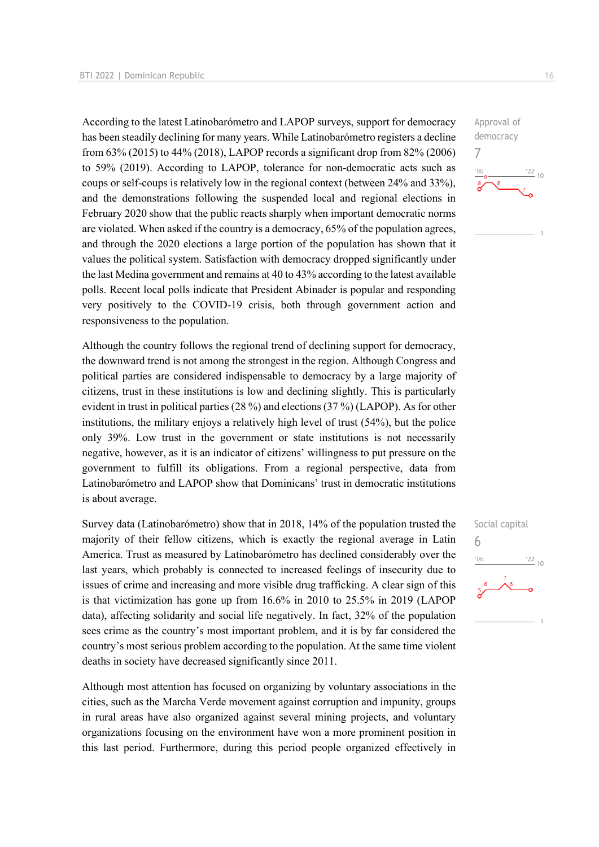According to the latest Latinobarómetro and LAPOP surveys, support for democracy has been steadily declining for many years. While Latinobarómetro registers a decline from 63% (2015) to 44% (2018), LAPOP records a significant drop from 82% (2006) to 59% (2019). According to LAPOP, tolerance for non-democratic acts such as coups or self-coups is relatively low in the regional context (between 24% and 33%), and the demonstrations following the suspended local and regional elections in February 2020 show that the public reacts sharply when important democratic norms are violated. When asked if the country is a democracy, 65% of the population agrees, and through the 2020 elections a large portion of the population has shown that it values the political system. Satisfaction with democracy dropped significantly under the last Medina government and remains at 40 to 43% according to the latest available polls. Recent local polls indicate that President Abinader is popular and responding very positively to the COVID-19 crisis, both through government action and responsiveness to the population.

Although the country follows the regional trend of declining support for democracy, the downward trend is not among the strongest in the region. Although Congress and political parties are considered indispensable to democracy by a large majority of citizens, trust in these institutions is low and declining slightly. This is particularly evident in trust in political parties (28 %) and elections (37 %) (LAPOP). As for other institutions, the military enjoys a relatively high level of trust (54%), but the police only 39%. Low trust in the government or state institutions is not necessarily negative, however, as it is an indicator of citizens' willingness to put pressure on the government to fulfill its obligations. From a regional perspective, data from Latinobarómetro and LAPOP show that Dominicans' trust in democratic institutions is about average.

Survey data (Latinobarómetro) show that in 2018, 14% of the population trusted the majority of their fellow citizens, which is exactly the regional average in Latin America. Trust as measured by Latinobarómetro has declined considerably over the last years, which probably is connected to increased feelings of insecurity due to issues of crime and increasing and more visible drug trafficking. A clear sign of this is that victimization has gone up from 16.6% in 2010 to 25.5% in 2019 (LAPOP data), affecting solidarity and social life negatively. In fact, 32% of the population sees crime as the country's most important problem, and it is by far considered the country's most serious problem according to the population. At the same time violent deaths in society have decreased significantly since 2011.

Although most attention has focused on organizing by voluntary associations in the cities, such as the Marcha Verde movement against corruption and impunity, groups in rural areas have also organized against several mining projects, and voluntary organizations focusing on the environment have won a more prominent position in this last period. Furthermore, during this period people organized effectively in



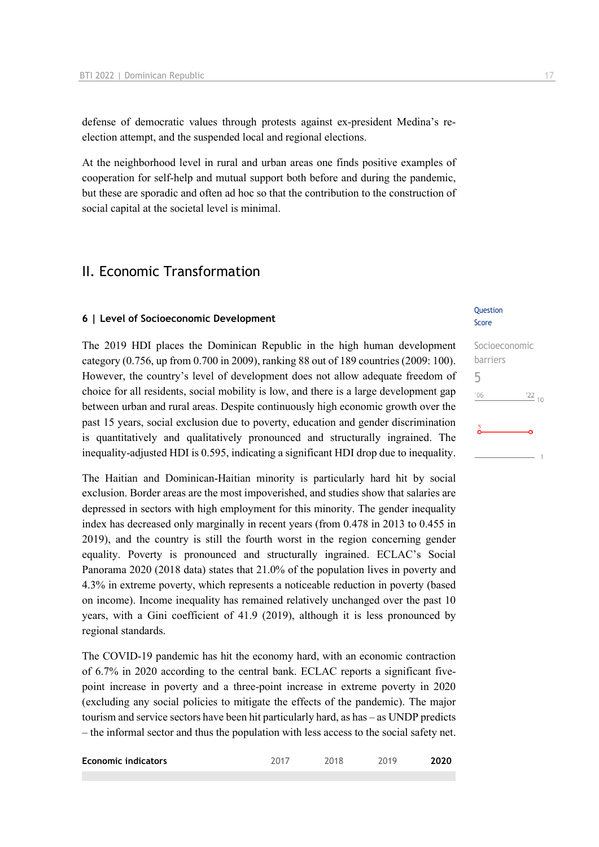defense of democratic values through protests against ex-president Medina's reelection attempt, and the suspended local and regional elections.

At the neighborhood level in rural and urban areas one finds positive examples of cooperation for self-help and mutual support both before and during the pandemic, but these are sporadic and often ad hoc so that the contribution to the construction of social capital at the societal level is minimal.

# II. Economic Transformation

#### **6 | Level of Socioeconomic Development**

The 2019 HDI places the Dominican Republic in the high human development category (0.756, up from 0.700 in 2009), ranking 88 out of 189 countries (2009: 100). However, the country's level of development does not allow adequate freedom of choice for all residents, social mobility is low, and there is a large development gap between urban and rural areas. Despite continuously high economic growth over the past 15 years, social exclusion due to poverty, education and gender discrimination is quantitatively and qualitatively pronounced and structurally ingrained. The inequality-adjusted HDI is 0.595, indicating a significant HDI drop due to inequality.

The Haitian and Dominican-Haitian minority is particularly hard hit by social exclusion. Border areas are the most impoverished, and studies show that salaries are depressed in sectors with high employment for this minority. The gender inequality index has decreased only marginally in recent years (from 0.478 in 2013 to 0.455 in 2019), and the country is still the fourth worst in the region concerning gender equality. Poverty is pronounced and structurally ingrained. ECLAC's Social Panorama 2020 (2018 data) states that 21.0% of the population lives in poverty and 4.3% in extreme poverty, which represents a noticeable reduction in poverty (based on income). Income inequality has remained relatively unchanged over the past 10 years, with a Gini coefficient of 41.9 (2019), although it is less pronounced by regional standards.

The COVID-19 pandemic has hit the economy hard, with an economic contraction of 6.7% in 2020 according to the central bank. ECLAC reports a significant fivepoint increase in poverty and a three-point increase in extreme poverty in 2020 (excluding any social policies to mitigate the effects of the pandemic). The major tourism and service sectors have been hit particularly hard, as has – as UNDP predicts – the informal sector and thus the population with less access to the social safety net.

| <b>Economic indicators</b> |  | 2019 | 2020 |
|----------------------------|--|------|------|
|                            |  |      |      |

#### **Ouestion** Score

Socioeconomic

| 5                      |                 |
|------------------------|-----------------|
| '06                    | $\frac{22}{10}$ |
| $\frac{5}{\mathbf{O}}$ |                 |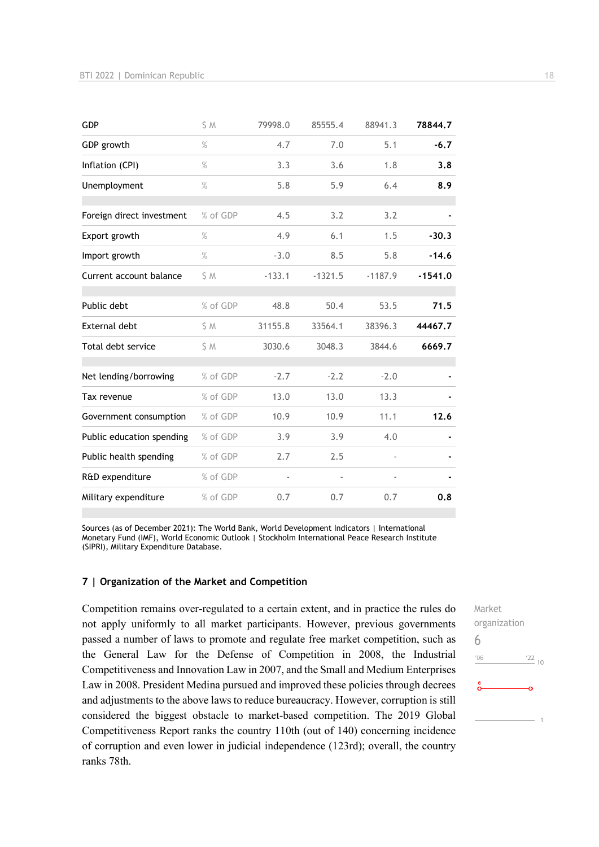| GDP                       | S M           | 79998.0  | 85555.4   | 88941.3   | 78844.7   |
|---------------------------|---------------|----------|-----------|-----------|-----------|
| GDP growth                | $\%$          | 4.7      | 7.0       | 5.1       | $-6.7$    |
| Inflation (CPI)           | $\frac{9}{6}$ | 3.3      | 3.6       | 1.8       | 3.8       |
| Unemployment              | $\%$          | 5.8      | 5.9       | 6.4       | 8.9       |
| Foreign direct investment | % of GDP      | 4.5      | 3.2       | 3.2       |           |
| Export growth             | $\%$          | 4.9      | 6.1       | 1.5       | $-30.3$   |
| Import growth             | $\%$          | $-3.0$   | 8.5       | 5.8       | $-14.6$   |
| Current account balance   | S M           | $-133.1$ | $-1321.5$ | $-1187.9$ | $-1541.0$ |
| Public debt               | % of GDP      | 48.8     | 50.4      | 53.5      | 71.5      |
| <b>External debt</b>      | \$ M          | 31155.8  | 33564.1   | 38396.3   | 44467.7   |
| Total debt service        | \$M           | 3030.6   | 3048.3    | 3844.6    | 6669.7    |
| Net lending/borrowing     | % of GDP      | $-2.7$   | $-2.2$    | $-2.0$    |           |
| Tax revenue               | % of GDP      | 13.0     | 13.0      | 13.3      |           |
| Government consumption    | % of GDP      | 10.9     | 10.9      | 11.1      | 12.6      |
| Public education spending | % of GDP      | 3.9      | 3.9       | 4.0       |           |
| Public health spending    | % of GDP      | 2.7      | 2.5       |           |           |
| R&D expenditure           | % of GDP      |          |           |           |           |
| Military expenditure      | % of GDP      | 0.7      | 0.7       | 0.7       | 0.8       |

Sources (as of December 2021): The World Bank, World Development Indicators | International Monetary Fund (IMF), World Economic Outlook | Stockholm International Peace Research Institute (SIPRI), Military Expenditure Database.

#### **7 | Organization of the Market and Competition**

Competition remains over-regulated to a certain extent, and in practice the rules do not apply uniformly to all market participants. However, previous governments passed a number of laws to promote and regulate free market competition, such as the General Law for the Defense of Competition in 2008, the Industrial Competitiveness and Innovation Law in 2007, and the Small and Medium Enterprises Law in 2008. President Medina pursued and improved these policies through decrees and adjustments to the above laws to reduce bureaucracy. However, corruption is still considered the biggest obstacle to market-based competition. The 2019 Global Competitiveness Report ranks the country 110th (out of 140) concerning incidence of corruption and even lower in judicial independence (123rd); overall, the country ranks 78th.

Market organization 6 $\frac{22}{10}$  $'06$  $\overline{1}$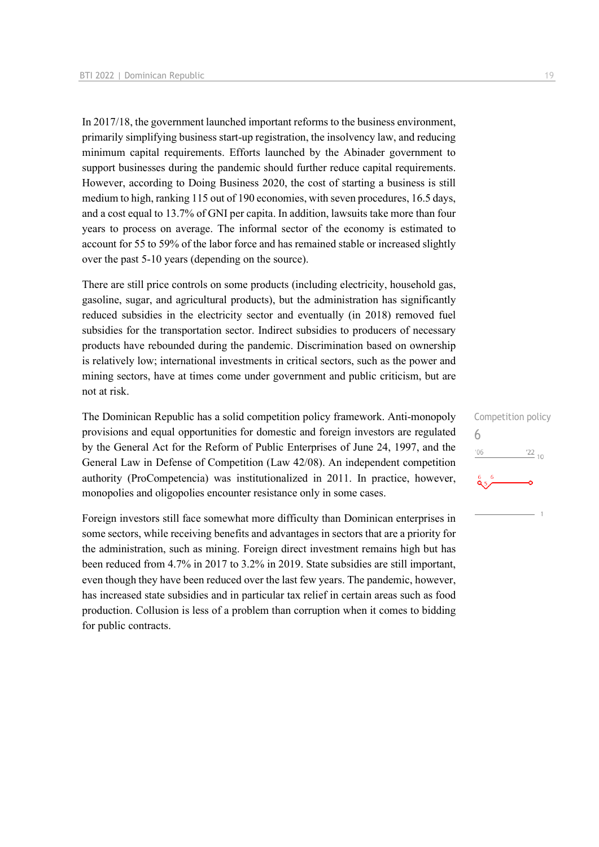In 2017/18, the government launched important reforms to the business environment, primarily simplifying business start-up registration, the insolvency law, and reducing minimum capital requirements. Efforts launched by the Abinader government to support businesses during the pandemic should further reduce capital requirements. However, according to Doing Business 2020, the cost of starting a business is still medium to high, ranking 115 out of 190 economies, with seven procedures, 16.5 days, and a cost equal to 13.7% of GNI per capita. In addition, lawsuits take more than four years to process on average. The informal sector of the economy is estimated to account for 55 to 59% of the labor force and has remained stable or increased slightly over the past 5-10 years (depending on the source).

There are still price controls on some products (including electricity, household gas, gasoline, sugar, and agricultural products), but the administration has significantly reduced subsidies in the electricity sector and eventually (in 2018) removed fuel subsidies for the transportation sector. Indirect subsidies to producers of necessary products have rebounded during the pandemic. Discrimination based on ownership is relatively low; international investments in critical sectors, such as the power and mining sectors, have at times come under government and public criticism, but are not at risk.

The Dominican Republic has a solid competition policy framework. Anti-monopoly provisions and equal opportunities for domestic and foreign investors are regulated by the General Act for the Reform of Public Enterprises of June 24, 1997, and the General Law in Defense of Competition (Law 42/08). An independent competition authority (ProCompetencia) was institutionalized in 2011. In practice, however, monopolies and oligopolies encounter resistance only in some cases.

Foreign investors still face somewhat more difficulty than Dominican enterprises in some sectors, while receiving benefits and advantages in sectors that are a priority for the administration, such as mining. Foreign direct investment remains high but has been reduced from 4.7% in 2017 to 3.2% in 2019. State subsidies are still important, even though they have been reduced over the last few years. The pandemic, however, has increased state subsidies and in particular tax relief in certain areas such as food production. Collusion is less of a problem than corruption when it comes to bidding for public contracts.

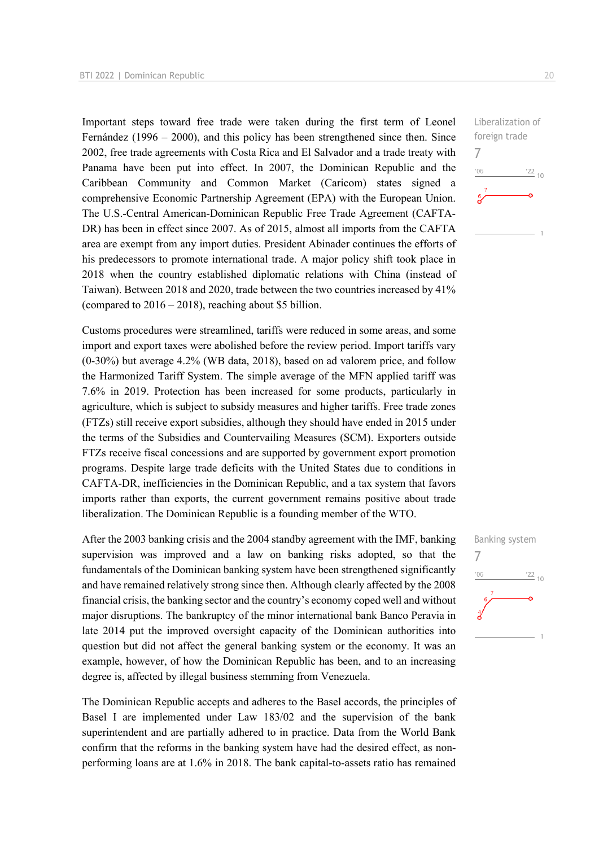Important steps toward free trade were taken during the first term of Leonel Fernández (1996 – 2000), and this policy has been strengthened since then. Since 2002, free trade agreements with Costa Rica and El Salvador and a trade treaty with Panama have been put into effect. In 2007, the Dominican Republic and the Caribbean Community and Common Market (Caricom) states signed a comprehensive Economic Partnership Agreement (EPA) with the European Union. The U.S.-Central American-Dominican Republic Free Trade Agreement (CAFTA-DR) has been in effect since 2007. As of 2015, almost all imports from the CAFTA area are exempt from any import duties. President Abinader continues the efforts of his predecessors to promote international trade. A major policy shift took place in 2018 when the country established diplomatic relations with China (instead of Taiwan). Between 2018 and 2020, trade between the two countries increased by 41% (compared to  $2016 - 2018$ ), reaching about \$5 billion.

Customs procedures were streamlined, tariffs were reduced in some areas, and some import and export taxes were abolished before the review period. Import tariffs vary (0-30%) but average 4.2% (WB data, 2018), based on ad valorem price, and follow the Harmonized Tariff System. The simple average of the MFN applied tariff was 7.6% in 2019. Protection has been increased for some products, particularly in agriculture, which is subject to subsidy measures and higher tariffs. Free trade zones (FTZs) still receive export subsidies, although they should have ended in 2015 under the terms of the Subsidies and Countervailing Measures (SCM). Exporters outside FTZs receive fiscal concessions and are supported by government export promotion programs. Despite large trade deficits with the United States due to conditions in CAFTA-DR, inefficiencies in the Dominican Republic, and a tax system that favors imports rather than exports, the current government remains positive about trade liberalization. The Dominican Republic is a founding member of the WTO.

After the 2003 banking crisis and the 2004 standby agreement with the IMF, banking supervision was improved and a law on banking risks adopted, so that the fundamentals of the Dominican banking system have been strengthened significantly and have remained relatively strong since then. Although clearly affected by the 2008 financial crisis, the banking sector and the country's economy coped well and without major disruptions. The bankruptcy of the minor international bank Banco Peravia in late 2014 put the improved oversight capacity of the Dominican authorities into question but did not affect the general banking system or the economy. It was an example, however, of how the Dominican Republic has been, and to an increasing degree is, affected by illegal business stemming from Venezuela.

The Dominican Republic accepts and adheres to the Basel accords, the principles of Basel I are implemented under Law 183/02 and the supervision of the bank superintendent and are partially adhered to in practice. Data from the World Bank confirm that the reforms in the banking system have had the desired effect, as nonperforming loans are at 1.6% in 2018. The bank capital-to-assets ratio has remained

Liberalization of foreign trade 7  $-06$  $\frac{22}{10}$ 

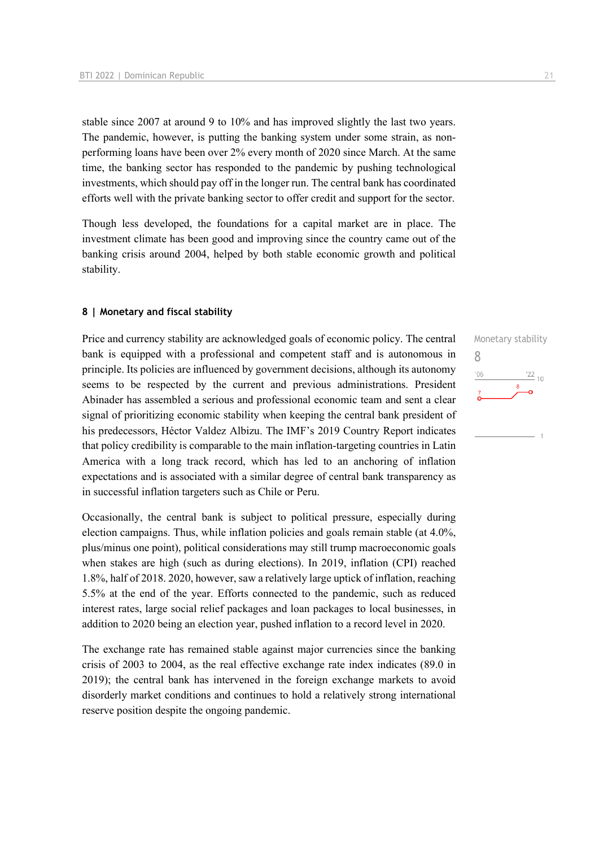stable since 2007 at around 9 to 10% and has improved slightly the last two years. The pandemic, however, is putting the banking system under some strain, as nonperforming loans have been over 2% every month of 2020 since March. At the same time, the banking sector has responded to the pandemic by pushing technological investments, which should pay off in the longer run. The central bank has coordinated efforts well with the private banking sector to offer credit and support for the sector.

Though less developed, the foundations for a capital market are in place. The investment climate has been good and improving since the country came out of the banking crisis around 2004, helped by both stable economic growth and political stability.

#### **8 | Monetary and fiscal stability**

Price and currency stability are acknowledged goals of economic policy. The central bank is equipped with a professional and competent staff and is autonomous in principle. Its policies are influenced by government decisions, although its autonomy seems to be respected by the current and previous administrations. President Abinader has assembled a serious and professional economic team and sent a clear signal of prioritizing economic stability when keeping the central bank president of his predecessors, Héctor Valdez Albizu. The IMF's 2019 Country Report indicates that policy credibility is comparable to the main inflation-targeting countries in Latin America with a long track record, which has led to an anchoring of inflation expectations and is associated with a similar degree of central bank transparency as in successful inflation targeters such as Chile or Peru.

Occasionally, the central bank is subject to political pressure, especially during election campaigns. Thus, while inflation policies and goals remain stable (at 4.0%, plus/minus one point), political considerations may still trump macroeconomic goals when stakes are high (such as during elections). In 2019, inflation (CPI) reached 1.8%, half of 2018. 2020, however, saw a relatively large uptick of inflation, reaching 5.5% at the end of the year. Efforts connected to the pandemic, such as reduced interest rates, large social relief packages and loan packages to local businesses, in addition to 2020 being an election year, pushed inflation to a record level in 2020.

The exchange rate has remained stable against major currencies since the banking crisis of 2003 to 2004, as the real effective exchange rate index indicates (89.0 in 2019); the central bank has intervened in the foreign exchange markets to avoid disorderly market conditions and continues to hold a relatively strong international reserve position despite the ongoing pandemic.

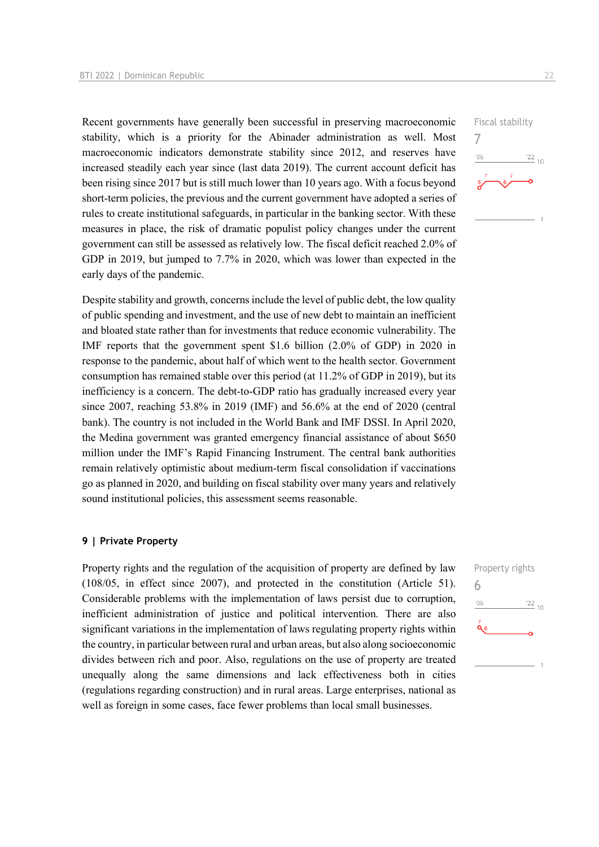Recent governments have generally been successful in preserving macroeconomic stability, which is a priority for the Abinader administration as well. Most macroeconomic indicators demonstrate stability since 2012, and reserves have increased steadily each year since (last data 2019). The current account deficit has been rising since 2017 but is still much lower than 10 years ago. With a focus beyond short-term policies, the previous and the current government have adopted a series of rules to create institutional safeguards, in particular in the banking sector. With these measures in place, the risk of dramatic populist policy changes under the current government can still be assessed as relatively low. The fiscal deficit reached 2.0% of GDP in 2019, but jumped to 7.7% in 2020, which was lower than expected in the early days of the pandemic.

Despite stability and growth, concerns include the level of public debt, the low quality of public spending and investment, and the use of new debt to maintain an inefficient and bloated state rather than for investments that reduce economic vulnerability. The IMF reports that the government spent \$1.6 billion (2.0% of GDP) in 2020 in response to the pandemic, about half of which went to the health sector. Government consumption has remained stable over this period (at 11.2% of GDP in 2019), but its inefficiency is a concern. The debt-to-GDP ratio has gradually increased every year since 2007, reaching 53.8% in 2019 (IMF) and 56.6% at the end of 2020 (central bank). The country is not included in the World Bank and IMF DSSI. In April 2020, the Medina government was granted emergency financial assistance of about \$650 million under the IMF's Rapid Financing Instrument. The central bank authorities remain relatively optimistic about medium-term fiscal consolidation if vaccinations go as planned in 2020, and building on fiscal stability over many years and relatively sound institutional policies, this assessment seems reasonable.

#### **9 | Private Property**

Property rights and the regulation of the acquisition of property are defined by law (108/05, in effect since 2007), and protected in the constitution (Article 51). Considerable problems with the implementation of laws persist due to corruption, inefficient administration of justice and political intervention. There are also significant variations in the implementation of laws regulating property rights within the country, in particular between rural and urban areas, but also along socioeconomic divides between rich and poor. Also, regulations on the use of property are treated unequally along the same dimensions and lack effectiveness both in cities (regulations regarding construction) and in rural areas. Large enterprises, national as well as foreign in some cases, face fewer problems than local small businesses.



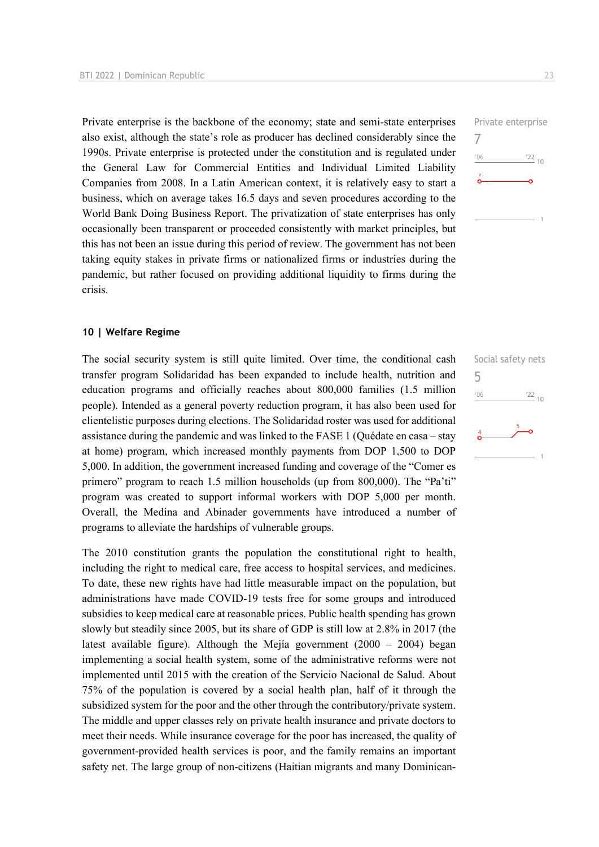Private enterprise is the backbone of the economy; state and semi-state enterprises also exist, although the state's role as producer has declined considerably since the 1990s. Private enterprise is protected under the constitution and is regulated under the General Law for Commercial Entities and Individual Limited Liability Companies from 2008. In a Latin American context, it is relatively easy to start a business, which on average takes 16.5 days and seven procedures according to the World Bank Doing Business Report. The privatization of state enterprises has only occasionally been transparent or proceeded consistently with market principles, but this has not been an issue during this period of review. The government has not been taking equity stakes in private firms or nationalized firms or industries during the pandemic, but rather focused on providing additional liquidity to firms during the crisis.

#### **10 | Welfare Regime**

The social security system is still quite limited. Over time, the conditional cash transfer program Solidaridad has been expanded to include health, nutrition and education programs and officially reaches about 800,000 families (1.5 million people). Intended as a general poverty reduction program, it has also been used for clientelistic purposes during elections. The Solidaridad roster was used for additional assistance during the pandemic and was linked to the FASE 1 (Quédate en casa – stay at home) program, which increased monthly payments from DOP 1,500 to DOP 5,000. In addition, the government increased funding and coverage of the "Comer es primero" program to reach 1.5 million households (up from 800,000). The "Pa'ti" program was created to support informal workers with DOP 5,000 per month. Overall, the Medina and Abinader governments have introduced a number of programs to alleviate the hardships of vulnerable groups.

The 2010 constitution grants the population the constitutional right to health, including the right to medical care, free access to hospital services, and medicines. To date, these new rights have had little measurable impact on the population, but administrations have made COVID-19 tests free for some groups and introduced subsidies to keep medical care at reasonable prices. Public health spending has grown slowly but steadily since 2005, but its share of GDP is still low at 2.8% in 2017 (the latest available figure). Although the Mejía government (2000 – 2004) began implementing a social health system, some of the administrative reforms were not implemented until 2015 with the creation of the Servicio Nacional de Salud. About 75% of the population is covered by a social health plan, half of it through the subsidized system for the poor and the other through the contributory/private system. The middle and upper classes rely on private health insurance and private doctors to meet their needs. While insurance coverage for the poor has increased, the quality of government-provided health services is poor, and the family remains an important safety net. The large group of non-citizens (Haitian migrants and many DominicanPrivate enterprise 7  $\frac{22}{10}$  $106$ 

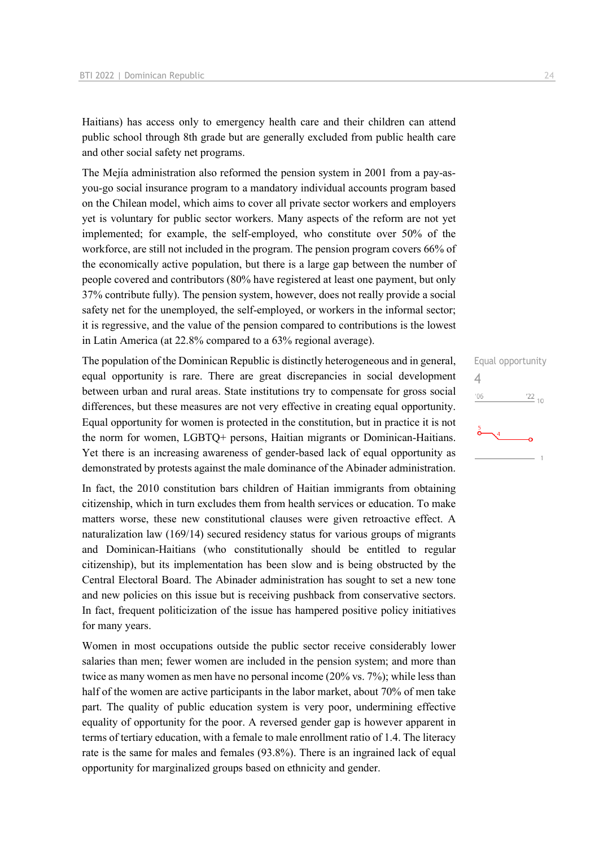Haitians) has access only to emergency health care and their children can attend public school through 8th grade but are generally excluded from public health care and other social safety net programs.

The Mejía administration also reformed the pension system in 2001 from a pay-asyou-go social insurance program to a mandatory individual accounts program based on the Chilean model, which aims to cover all private sector workers and employers yet is voluntary for public sector workers. Many aspects of the reform are not yet implemented; for example, the self-employed, who constitute over 50% of the workforce, are still not included in the program. The pension program covers 66% of the economically active population, but there is a large gap between the number of people covered and contributors (80% have registered at least one payment, but only 37% contribute fully). The pension system, however, does not really provide a social safety net for the unemployed, the self-employed, or workers in the informal sector; it is regressive, and the value of the pension compared to contributions is the lowest in Latin America (at 22.8% compared to a 63% regional average).

The population of the Dominican Republic is distinctly heterogeneous and in general, equal opportunity is rare. There are great discrepancies in social development between urban and rural areas. State institutions try to compensate for gross social differences, but these measures are not very effective in creating equal opportunity. Equal opportunity for women is protected in the constitution, but in practice it is not the norm for women, LGBTQ+ persons, Haitian migrants or Dominican-Haitians. Yet there is an increasing awareness of gender-based lack of equal opportunity as demonstrated by protests against the male dominance of the Abinader administration.

In fact, the 2010 constitution bars children of Haitian immigrants from obtaining citizenship, which in turn excludes them from health services or education. To make matters worse, these new constitutional clauses were given retroactive effect. A naturalization law (169/14) secured residency status for various groups of migrants and Dominican-Haitians (who constitutionally should be entitled to regular citizenship), but its implementation has been slow and is being obstructed by the Central Electoral Board. The Abinader administration has sought to set a new tone and new policies on this issue but is receiving pushback from conservative sectors. In fact, frequent politicization of the issue has hampered positive policy initiatives for many years.

Women in most occupations outside the public sector receive considerably lower salaries than men; fewer women are included in the pension system; and more than twice as many women as men have no personal income (20% vs. 7%); while less than half of the women are active participants in the labor market, about 70% of men take part. The quality of public education system is very poor, undermining effective equality of opportunity for the poor. A reversed gender gap is however apparent in terms of tertiary education, with a female to male enrollment ratio of 1.4. The literacy rate is the same for males and females (93.8%). There is an ingrained lack of equal opportunity for marginalized groups based on ethnicity and gender.

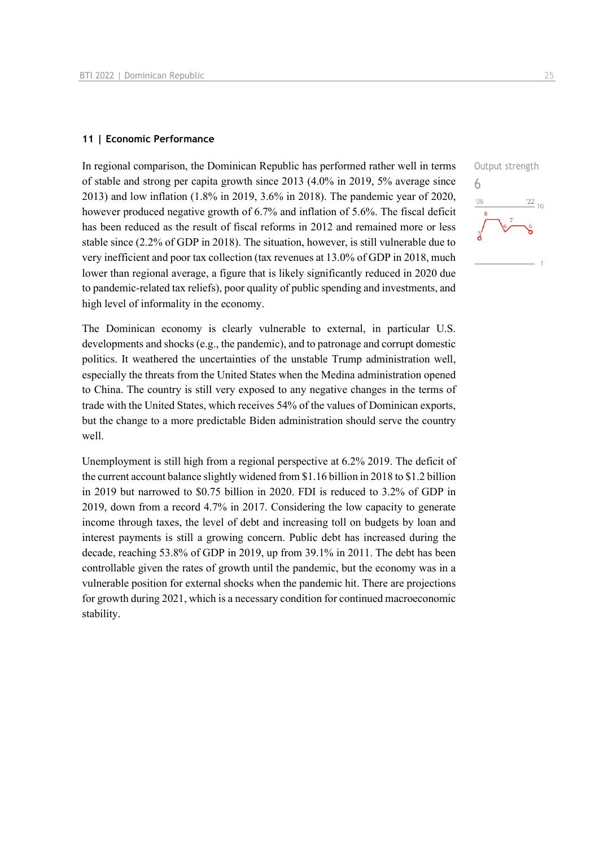#### **11 | Economic Performance**

In regional comparison, the Dominican Republic has performed rather well in terms of stable and strong per capita growth since 2013 (4.0% in 2019, 5% average since 2013) and low inflation (1.8% in 2019, 3.6% in 2018). The pandemic year of 2020, however produced negative growth of 6.7% and inflation of 5.6%. The fiscal deficit has been reduced as the result of fiscal reforms in 2012 and remained more or less stable since (2.2% of GDP in 2018). The situation, however, is still vulnerable due to very inefficient and poor tax collection (tax revenues at 13.0% of GDP in 2018, much lower than regional average, a figure that is likely significantly reduced in 2020 due to pandemic-related tax reliefs), poor quality of public spending and investments, and high level of informality in the economy.

Output strength 6 $^{\prime}06$  $\frac{22}{10}$ 

The Dominican economy is clearly vulnerable to external, in particular U.S. developments and shocks (e.g., the pandemic), and to patronage and corrupt domestic politics. It weathered the uncertainties of the unstable Trump administration well, especially the threats from the United States when the Medina administration opened to China. The country is still very exposed to any negative changes in the terms of trade with the United States, which receives 54% of the values of Dominican exports, but the change to a more predictable Biden administration should serve the country well.

Unemployment is still high from a regional perspective at 6.2% 2019. The deficit of the current account balance slightly widened from \$1.16 billion in 2018 to \$1.2 billion in 2019 but narrowed to \$0.75 billion in 2020. FDI is reduced to 3.2% of GDP in 2019, down from a record 4.7% in 2017. Considering the low capacity to generate income through taxes, the level of debt and increasing toll on budgets by loan and interest payments is still a growing concern. Public debt has increased during the decade, reaching 53.8% of GDP in 2019, up from 39.1% in 2011. The debt has been controllable given the rates of growth until the pandemic, but the economy was in a vulnerable position for external shocks when the pandemic hit. There are projections for growth during 2021, which is a necessary condition for continued macroeconomic stability.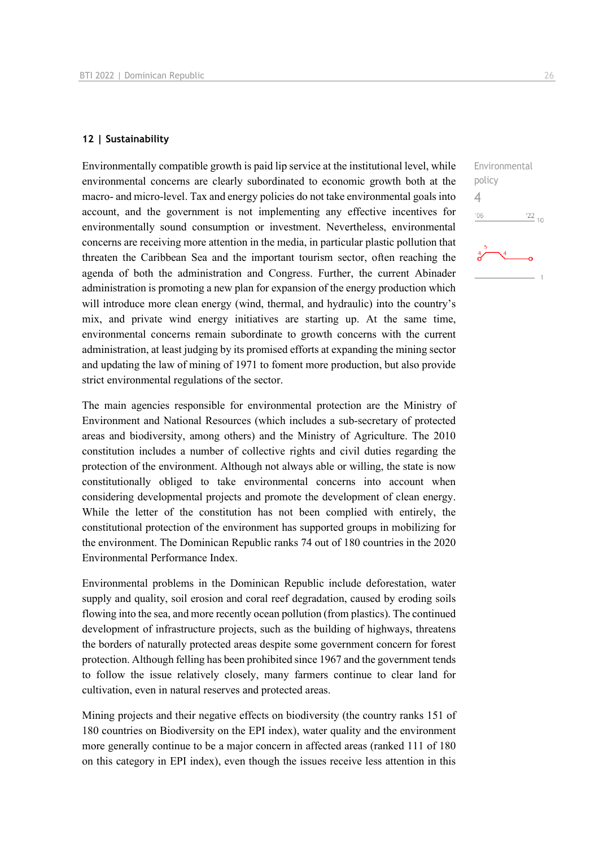#### **12 | Sustainability**

Environmentally compatible growth is paid lip service at the institutional level, while environmental concerns are clearly subordinated to economic growth both at the macro- and micro-level. Tax and energy policies do not take environmental goals into account, and the government is not implementing any effective incentives for environmentally sound consumption or investment. Nevertheless, environmental concerns are receiving more attention in the media, in particular plastic pollution that threaten the Caribbean Sea and the important tourism sector, often reaching the agenda of both the administration and Congress. Further, the current Abinader administration is promoting a new plan for expansion of the energy production which will introduce more clean energy (wind, thermal, and hydraulic) into the country's mix, and private wind energy initiatives are starting up. At the same time, environmental concerns remain subordinate to growth concerns with the current administration, at least judging by its promised efforts at expanding the mining sector and updating the law of mining of 1971 to foment more production, but also provide strict environmental regulations of the sector.

The main agencies responsible for environmental protection are the Ministry of Environment and National Resources (which includes a sub-secretary of protected areas and biodiversity, among others) and the Ministry of Agriculture. The 2010 constitution includes a number of collective rights and civil duties regarding the protection of the environment. Although not always able or willing, the state is now constitutionally obliged to take environmental concerns into account when considering developmental projects and promote the development of clean energy. While the letter of the constitution has not been complied with entirely, the constitutional protection of the environment has supported groups in mobilizing for the environment. The Dominican Republic ranks 74 out of 180 countries in the 2020 Environmental Performance Index.

Environmental problems in the Dominican Republic include deforestation, water supply and quality, soil erosion and coral reef degradation, caused by eroding soils flowing into the sea, and more recently ocean pollution (from plastics). The continued development of infrastructure projects, such as the building of highways, threatens the borders of naturally protected areas despite some government concern for forest protection. Although felling has been prohibited since 1967 and the government tends to follow the issue relatively closely, many farmers continue to clear land for cultivation, even in natural reserves and protected areas.

Mining projects and their negative effects on biodiversity (the country ranks 151 of 180 countries on Biodiversity on the EPI index), water quality and the environment more generally continue to be a major concern in affected areas (ranked 111 of 180 on this category in EPI index), even though the issues receive less attention in this

Environmental

 $\frac{22}{10}$ 

policy 4 $06'$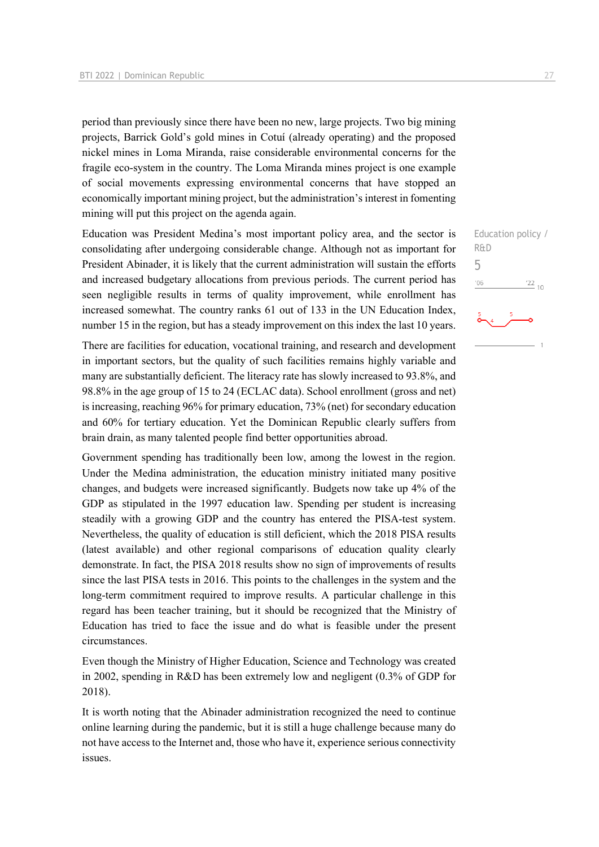period than previously since there have been no new, large projects. Two big mining projects, Barrick Gold's gold mines in Cotuí (already operating) and the proposed nickel mines in Loma Miranda, raise considerable environmental concerns for the fragile eco-system in the country. The Loma Miranda mines project is one example of social movements expressing environmental concerns that have stopped an economically important mining project, but the administration's interest in fomenting mining will put this project on the agenda again.

Education was President Medina's most important policy area, and the sector is consolidating after undergoing considerable change. Although not as important for President Abinader, it is likely that the current administration will sustain the efforts and increased budgetary allocations from previous periods. The current period has seen negligible results in terms of quality improvement, while enrollment has increased somewhat. The country ranks 61 out of 133 in the UN Education Index, number 15 in the region, but has a steady improvement on this index the last 10 years.

There are facilities for education, vocational training, and research and development in important sectors, but the quality of such facilities remains highly variable and many are substantially deficient. The literacy rate has slowly increased to 93.8%, and 98.8% in the age group of 15 to 24 (ECLAC data). School enrollment (gross and net) is increasing, reaching 96% for primary education, 73% (net) for secondary education and 60% for tertiary education. Yet the Dominican Republic clearly suffers from brain drain, as many talented people find better opportunities abroad.

Government spending has traditionally been low, among the lowest in the region. Under the Medina administration, the education ministry initiated many positive changes, and budgets were increased significantly. Budgets now take up 4% of the GDP as stipulated in the 1997 education law. Spending per student is increasing steadily with a growing GDP and the country has entered the PISA-test system. Nevertheless, the quality of education is still deficient, which the 2018 PISA results (latest available) and other regional comparisons of education quality clearly demonstrate. In fact, the PISA 2018 results show no sign of improvements of results since the last PISA tests in 2016. This points to the challenges in the system and the long-term commitment required to improve results. A particular challenge in this regard has been teacher training, but it should be recognized that the Ministry of Education has tried to face the issue and do what is feasible under the present circumstances.

Even though the Ministry of Higher Education, Science and Technology was created in 2002, spending in R&D has been extremely low and negligent (0.3% of GDP for 2018).

It is worth noting that the Abinader administration recognized the need to continue online learning during the pandemic, but it is still a huge challenge because many do not have access to the Internet and, those who have it, experience serious connectivity issues.

5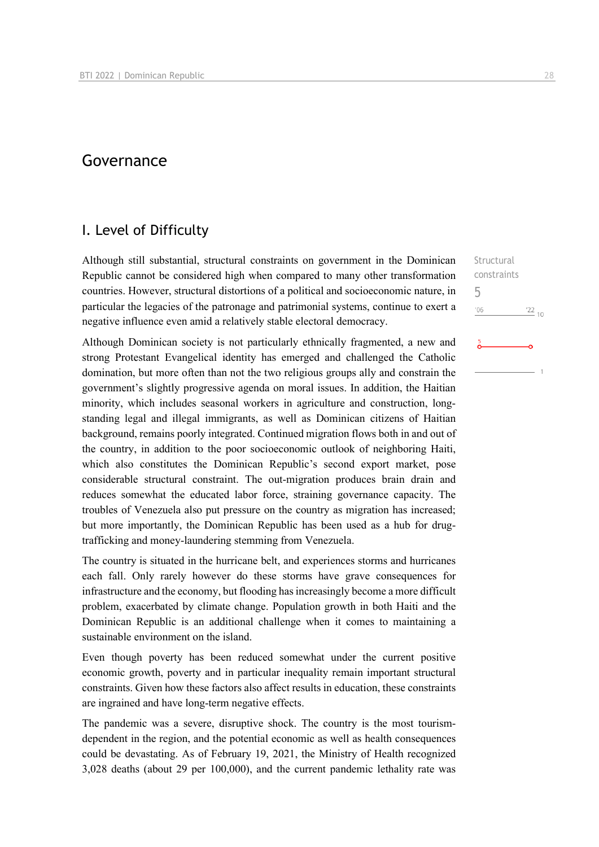# Governance

### I. Level of Difficulty

Although still substantial, structural constraints on government in the Dominican Republic cannot be considered high when compared to many other transformation countries. However, structural distortions of a political and socioeconomic nature, in particular the legacies of the patronage and patrimonial systems, continue to exert a negative influence even amid a relatively stable electoral democracy.

Although Dominican society is not particularly ethnically fragmented, a new and strong Protestant Evangelical identity has emerged and challenged the Catholic domination, but more often than not the two religious groups ally and constrain the government's slightly progressive agenda on moral issues. In addition, the Haitian minority, which includes seasonal workers in agriculture and construction, longstanding legal and illegal immigrants, as well as Dominican citizens of Haitian background, remains poorly integrated. Continued migration flows both in and out of the country, in addition to the poor socioeconomic outlook of neighboring Haiti, which also constitutes the Dominican Republic's second export market, pose considerable structural constraint. The out-migration produces brain drain and reduces somewhat the educated labor force, straining governance capacity. The troubles of Venezuela also put pressure on the country as migration has increased; but more importantly, the Dominican Republic has been used as a hub for drugtrafficking and money-laundering stemming from Venezuela.

The country is situated in the hurricane belt, and experiences storms and hurricanes each fall. Only rarely however do these storms have grave consequences for infrastructure and the economy, but flooding has increasingly become a more difficult problem, exacerbated by climate change. Population growth in both Haiti and the Dominican Republic is an additional challenge when it comes to maintaining a sustainable environment on the island.

Even though poverty has been reduced somewhat under the current positive economic growth, poverty and in particular inequality remain important structural constraints. Given how these factors also affect results in education, these constraints are ingrained and have long-term negative effects.

The pandemic was a severe, disruptive shock. The country is the most tourismdependent in the region, and the potential economic as well as health consequences could be devastating. As of February 19, 2021, the Ministry of Health recognized 3,028 deaths (about 29 per 100,000), and the current pandemic lethality rate was Structural constraints 5 $106$  $\frac{22}{10}$ 

$$
\begin{array}{c}\n5 \\
\bullet\n\end{array}
$$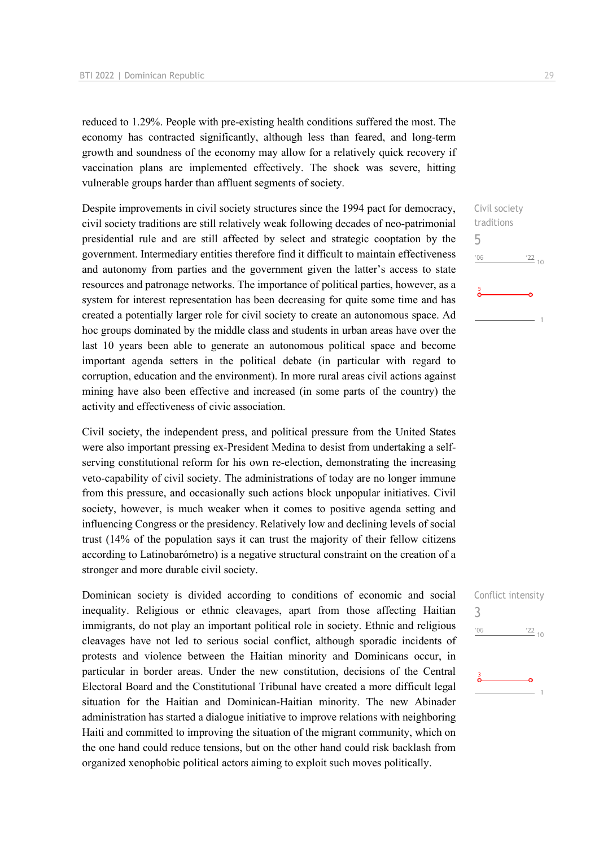reduced to 1.29%. People with pre-existing health conditions suffered the most. The economy has contracted significantly, although less than feared, and long-term growth and soundness of the economy may allow for a relatively quick recovery if vaccination plans are implemented effectively. The shock was severe, hitting vulnerable groups harder than affluent segments of society.

Despite improvements in civil society structures since the 1994 pact for democracy, civil society traditions are still relatively weak following decades of neo-patrimonial presidential rule and are still affected by select and strategic cooptation by the government. Intermediary entities therefore find it difficult to maintain effectiveness and autonomy from parties and the government given the latter's access to state resources and patronage networks. The importance of political parties, however, as a system for interest representation has been decreasing for quite some time and has created a potentially larger role for civil society to create an autonomous space. Ad hoc groups dominated by the middle class and students in urban areas have over the last 10 years been able to generate an autonomous political space and become important agenda setters in the political debate (in particular with regard to corruption, education and the environment). In more rural areas civil actions against mining have also been effective and increased (in some parts of the country) the activity and effectiveness of civic association.

Civil society, the independent press, and political pressure from the United States were also important pressing ex-President Medina to desist from undertaking a selfserving constitutional reform for his own re-election, demonstrating the increasing veto-capability of civil society. The administrations of today are no longer immune from this pressure, and occasionally such actions block unpopular initiatives. Civil society, however, is much weaker when it comes to positive agenda setting and influencing Congress or the presidency. Relatively low and declining levels of social trust (14% of the population says it can trust the majority of their fellow citizens according to Latinobarómetro) is a negative structural constraint on the creation of a stronger and more durable civil society.

Dominican society is divided according to conditions of economic and social inequality. Religious or ethnic cleavages, apart from those affecting Haitian immigrants, do not play an important political role in society. Ethnic and religious cleavages have not led to serious social conflict, although sporadic incidents of protests and violence between the Haitian minority and Dominicans occur, in particular in border areas. Under the new constitution, decisions of the Central Electoral Board and the Constitutional Tribunal have created a more difficult legal situation for the Haitian and Dominican-Haitian minority. The new Abinader administration has started a dialogue initiative to improve relations with neighboring Haiti and committed to improving the situation of the migrant community, which on the one hand could reduce tensions, but on the other hand could risk backlash from organized xenophobic political actors aiming to exploit such moves politically.

Civil society traditions 5  $'06$  $'22_{10}$ 

| $\mathfrak{Z}$ | COLLITICT THECHOICY |
|----------------|---------------------|
| '06            | $\frac{22}{10}$     |
|                |                     |
| ŏ              |                     |
|                |                     |

Conflict intonsity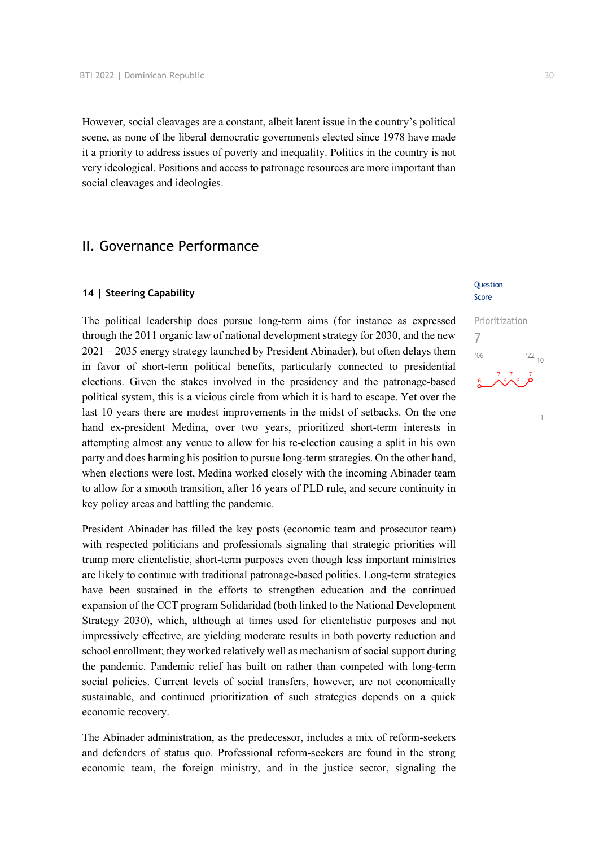However, social cleavages are a constant, albeit latent issue in the country's political scene, as none of the liberal democratic governments elected since 1978 have made it a priority to address issues of poverty and inequality. Politics in the country is not very ideological. Positions and access to patronage resources are more important than social cleavages and ideologies.

# II. Governance Performance

#### **14 | Steering Capability**

The political leadership does pursue long-term aims (for instance as expressed through the 2011 organic law of national development strategy for 2030, and the new 2021 – 2035 energy strategy launched by President Abinader), but often delays them in favor of short-term political benefits, particularly connected to presidential elections. Given the stakes involved in the presidency and the patronage-based political system, this is a vicious circle from which it is hard to escape. Yet over the last 10 years there are modest improvements in the midst of setbacks. On the one hand ex-president Medina, over two years, prioritized short-term interests in attempting almost any venue to allow for his re-election causing a split in his own party and does harming his position to pursue long-term strategies. On the other hand, when elections were lost, Medina worked closely with the incoming Abinader team to allow for a smooth transition, after 16 years of PLD rule, and secure continuity in key policy areas and battling the pandemic.

President Abinader has filled the key posts (economic team and prosecutor team) with respected politicians and professionals signaling that strategic priorities will trump more clientelistic, short-term purposes even though less important ministries are likely to continue with traditional patronage-based politics. Long-term strategies have been sustained in the efforts to strengthen education and the continued expansion of the CCT program Solidaridad (both linked to the National Development Strategy 2030), which, although at times used for clientelistic purposes and not impressively effective, are yielding moderate results in both poverty reduction and school enrollment; they worked relatively well as mechanism of social support during the pandemic. Pandemic relief has built on rather than competed with long-term social policies. Current levels of social transfers, however, are not economically sustainable, and continued prioritization of such strategies depends on a quick economic recovery.

The Abinader administration, as the predecessor, includes a mix of reform-seekers and defenders of status quo. Professional reform-seekers are found in the strong economic team, the foreign ministry, and in the justice sector, signaling the

#### **Ouestion** Score

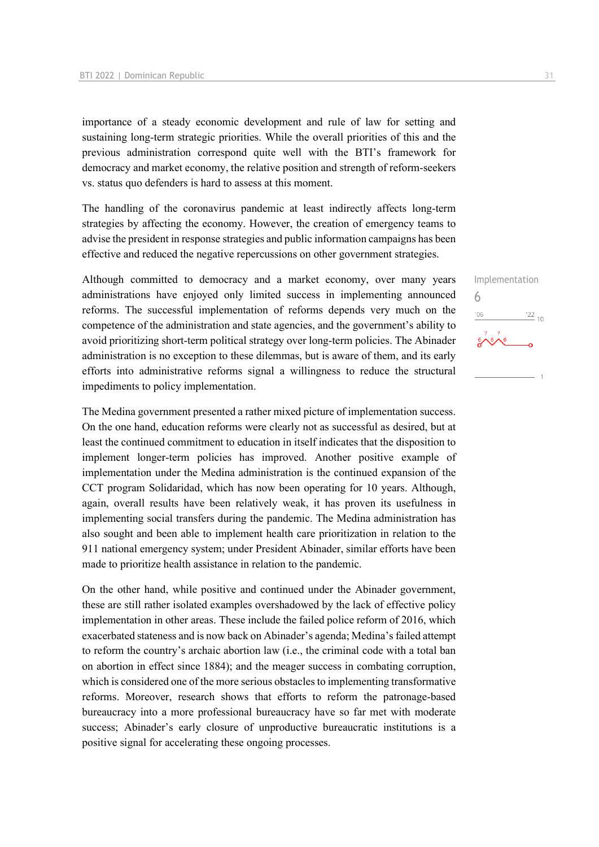importance of a steady economic development and rule of law for setting and sustaining long-term strategic priorities. While the overall priorities of this and the previous administration correspond quite well with the BTI's framework for democracy and market economy, the relative position and strength of reform-seekers vs. status quo defenders is hard to assess at this moment.

The handling of the coronavirus pandemic at least indirectly affects long-term strategies by affecting the economy. However, the creation of emergency teams to advise the president in response strategies and public information campaigns has been effective and reduced the negative repercussions on other government strategies.

Although committed to democracy and a market economy, over many years administrations have enjoyed only limited success in implementing announced reforms. The successful implementation of reforms depends very much on the competence of the administration and state agencies, and the government's ability to avoid prioritizing short-term political strategy over long-term policies. The Abinader administration is no exception to these dilemmas, but is aware of them, and its early efforts into administrative reforms signal a willingness to reduce the structural impediments to policy implementation.

The Medina government presented a rather mixed picture of implementation success. On the one hand, education reforms were clearly not as successful as desired, but at least the continued commitment to education in itself indicates that the disposition to implement longer-term policies has improved. Another positive example of implementation under the Medina administration is the continued expansion of the CCT program Solidaridad, which has now been operating for 10 years. Although, again, overall results have been relatively weak, it has proven its usefulness in implementing social transfers during the pandemic. The Medina administration has also sought and been able to implement health care prioritization in relation to the 911 national emergency system; under President Abinader, similar efforts have been made to prioritize health assistance in relation to the pandemic.

On the other hand, while positive and continued under the Abinader government, these are still rather isolated examples overshadowed by the lack of effective policy implementation in other areas. These include the failed police reform of 2016, which exacerbated stateness and is now back on Abinader's agenda; Medina's failed attempt to reform the country's archaic abortion law (i.e., the criminal code with a total ban on abortion in effect since 1884); and the meager success in combating corruption, which is considered one of the more serious obstacles to implementing transformative reforms. Moreover, research shows that efforts to reform the patronage-based bureaucracy into a more professional bureaucracy have so far met with moderate success; Abinader's early closure of unproductive bureaucratic institutions is a positive signal for accelerating these ongoing processes.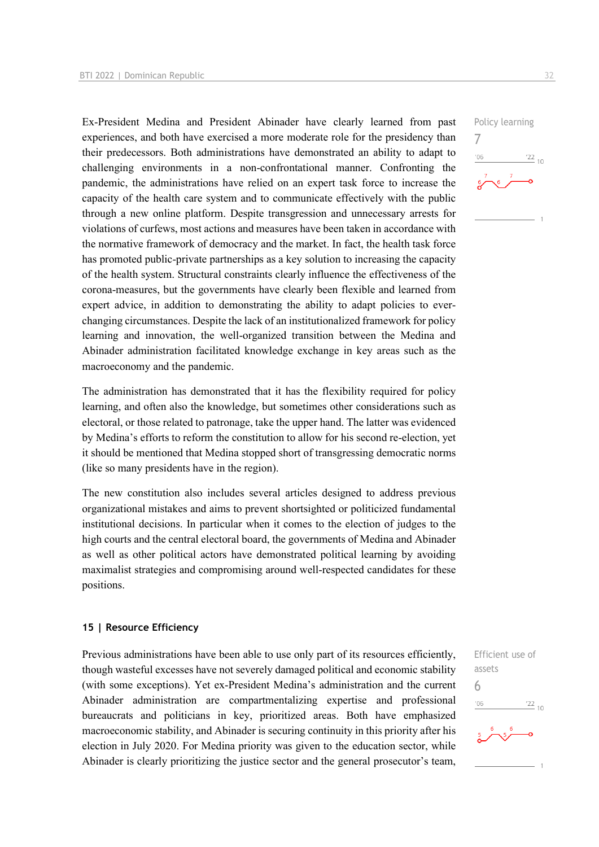Ex-President Medina and President Abinader have clearly learned from past experiences, and both have exercised a more moderate role for the presidency than their predecessors. Both administrations have demonstrated an ability to adapt to challenging environments in a non-confrontational manner. Confronting the pandemic, the administrations have relied on an expert task force to increase the capacity of the health care system and to communicate effectively with the public through a new online platform. Despite transgression and unnecessary arrests for violations of curfews, most actions and measures have been taken in accordance with the normative framework of democracy and the market. In fact, the health task force has promoted public-private partnerships as a key solution to increasing the capacity of the health system. Structural constraints clearly influence the effectiveness of the corona-measures, but the governments have clearly been flexible and learned from expert advice, in addition to demonstrating the ability to adapt policies to everchanging circumstances. Despite the lack of an institutionalized framework for policy learning and innovation, the well-organized transition between the Medina and Abinader administration facilitated knowledge exchange in key areas such as the macroeconomy and the pandemic.

The administration has demonstrated that it has the flexibility required for policy learning, and often also the knowledge, but sometimes other considerations such as electoral, or those related to patronage, take the upper hand. The latter was evidenced by Medina's efforts to reform the constitution to allow for his second re-election, yet it should be mentioned that Medina stopped short of transgressing democratic norms (like so many presidents have in the region).

The new constitution also includes several articles designed to address previous organizational mistakes and aims to prevent shortsighted or politicized fundamental institutional decisions. In particular when it comes to the election of judges to the high courts and the central electoral board, the governments of Medina and Abinader as well as other political actors have demonstrated political learning by avoiding maximalist strategies and compromising around well-respected candidates for these positions.

#### **15 | Resource Efficiency**

Previous administrations have been able to use only part of its resources efficiently, though wasteful excesses have not severely damaged political and economic stability (with some exceptions). Yet ex-President Medina's administration and the current Abinader administration are compartmentalizing expertise and professional bureaucrats and politicians in key, prioritized areas. Both have emphasized macroeconomic stability, and Abinader is securing continuity in this priority after his election in July 2020. For Medina priority was given to the education sector, while Abinader is clearly prioritizing the justice sector and the general prosecutor's team,

Efficient use of assets 6 $^{22}_{-10}$  $-06$ 

Policy learning 7  $106$  $\frac{22}{10}$ 

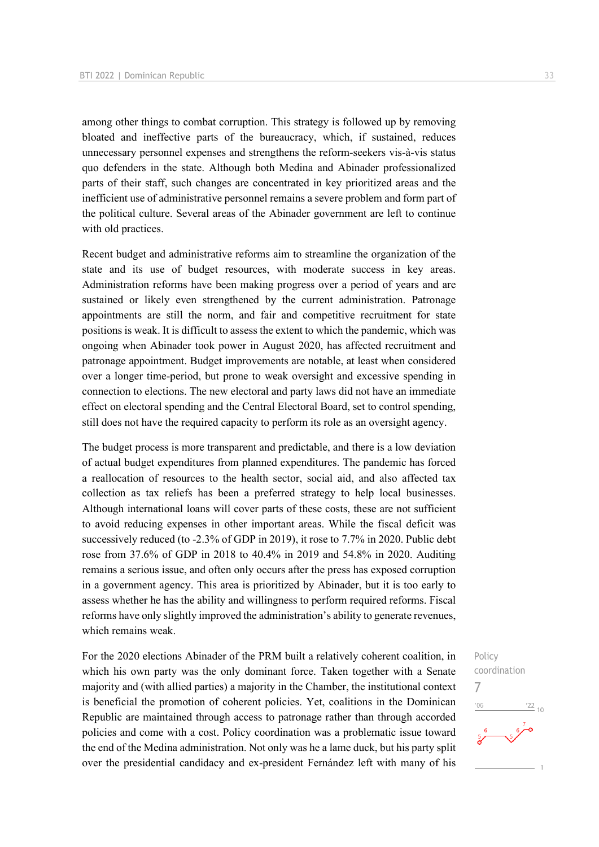among other things to combat corruption. This strategy is followed up by removing bloated and ineffective parts of the bureaucracy, which, if sustained, reduces unnecessary personnel expenses and strengthens the reform-seekers vis-à-vis status quo defenders in the state. Although both Medina and Abinader professionalized parts of their staff, such changes are concentrated in key prioritized areas and the inefficient use of administrative personnel remains a severe problem and form part of the political culture. Several areas of the Abinader government are left to continue with old practices.

Recent budget and administrative reforms aim to streamline the organization of the state and its use of budget resources, with moderate success in key areas. Administration reforms have been making progress over a period of years and are sustained or likely even strengthened by the current administration. Patronage appointments are still the norm, and fair and competitive recruitment for state positions is weak. It is difficult to assess the extent to which the pandemic, which was ongoing when Abinader took power in August 2020, has affected recruitment and patronage appointment. Budget improvements are notable, at least when considered over a longer time-period, but prone to weak oversight and excessive spending in connection to elections. The new electoral and party laws did not have an immediate effect on electoral spending and the Central Electoral Board, set to control spending, still does not have the required capacity to perform its role as an oversight agency.

The budget process is more transparent and predictable, and there is a low deviation of actual budget expenditures from planned expenditures. The pandemic has forced a reallocation of resources to the health sector, social aid, and also affected tax collection as tax reliefs has been a preferred strategy to help local businesses. Although international loans will cover parts of these costs, these are not sufficient to avoid reducing expenses in other important areas. While the fiscal deficit was successively reduced (to -2.3% of GDP in 2019), it rose to 7.7% in 2020. Public debt rose from 37.6% of GDP in 2018 to 40.4% in 2019 and 54.8% in 2020. Auditing remains a serious issue, and often only occurs after the press has exposed corruption in a government agency. This area is prioritized by Abinader, but it is too early to assess whether he has the ability and willingness to perform required reforms. Fiscal reforms have only slightly improved the administration's ability to generate revenues, which remains weak.

For the 2020 elections Abinader of the PRM built a relatively coherent coalition, in which his own party was the only dominant force. Taken together with a Senate majority and (with allied parties) a majority in the Chamber, the institutional context is beneficial the promotion of coherent policies. Yet, coalitions in the Dominican Republic are maintained through access to patronage rather than through accorded policies and come with a cost. Policy coordination was a problematic issue toward the end of the Medina administration. Not only was he a lame duck, but his party split over the presidential candidacy and ex-president Fernández left with many of his

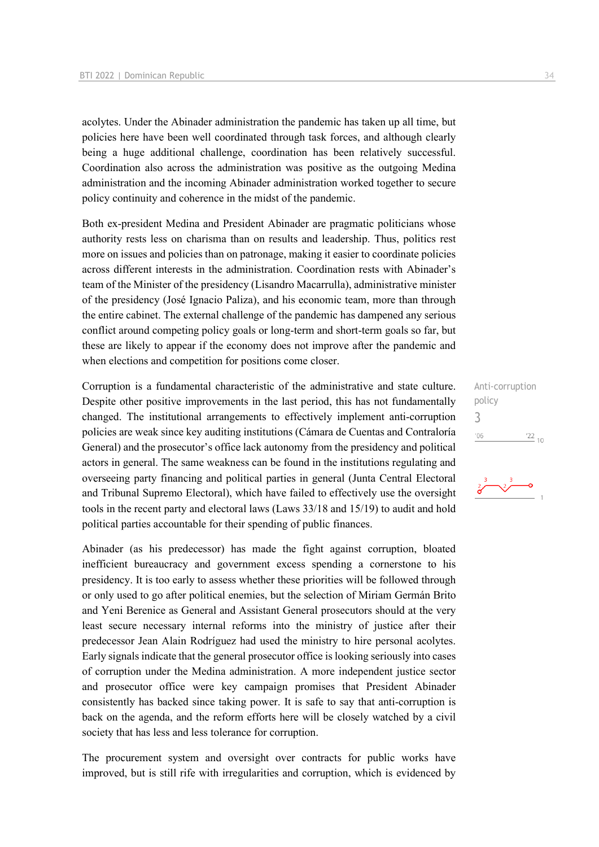acolytes. Under the Abinader administration the pandemic has taken up all time, but policies here have been well coordinated through task forces, and although clearly being a huge additional challenge, coordination has been relatively successful. Coordination also across the administration was positive as the outgoing Medina administration and the incoming Abinader administration worked together to secure policy continuity and coherence in the midst of the pandemic.

Both ex-president Medina and President Abinader are pragmatic politicians whose authority rests less on charisma than on results and leadership. Thus, politics rest more on issues and policies than on patronage, making it easier to coordinate policies across different interests in the administration. Coordination rests with Abinader's team of the Minister of the presidency (Lisandro Macarrulla), administrative minister of the presidency (José Ignacio Paliza), and his economic team, more than through the entire cabinet. The external challenge of the pandemic has dampened any serious conflict around competing policy goals or long-term and short-term goals so far, but these are likely to appear if the economy does not improve after the pandemic and when elections and competition for positions come closer.

Corruption is a fundamental characteristic of the administrative and state culture. Despite other positive improvements in the last period, this has not fundamentally changed. The institutional arrangements to effectively implement anti-corruption policies are weak since key auditing institutions (Cámara de Cuentas and Contraloría General) and the prosecutor's office lack autonomy from the presidency and political actors in general. The same weakness can be found in the institutions regulating and overseeing party financing and political parties in general (Junta Central Electoral and Tribunal Supremo Electoral), which have failed to effectively use the oversight tools in the recent party and electoral laws (Laws 33/18 and 15/19) to audit and hold political parties accountable for their spending of public finances.

Abinader (as his predecessor) has made the fight against corruption, bloated inefficient bureaucracy and government excess spending a cornerstone to his presidency. It is too early to assess whether these priorities will be followed through or only used to go after political enemies, but the selection of Miriam Germán Brito and Yeni Berenice as General and Assistant General prosecutors should at the very least secure necessary internal reforms into the ministry of justice after their predecessor Jean Alain Rodríguez had used the ministry to hire personal acolytes. Early signals indicate that the general prosecutor office is looking seriously into cases of corruption under the Medina administration. A more independent justice sector and prosecutor office were key campaign promises that President Abinader consistently has backed since taking power. It is safe to say that anti-corruption is back on the agenda, and the reform efforts here will be closely watched by a civil society that has less and less tolerance for corruption.

The procurement system and oversight over contracts for public works have improved, but is still rife with irregularities and corruption, which is evidenced by Anti-corruption policy 3 $'06$  $\frac{22}{10}$ 

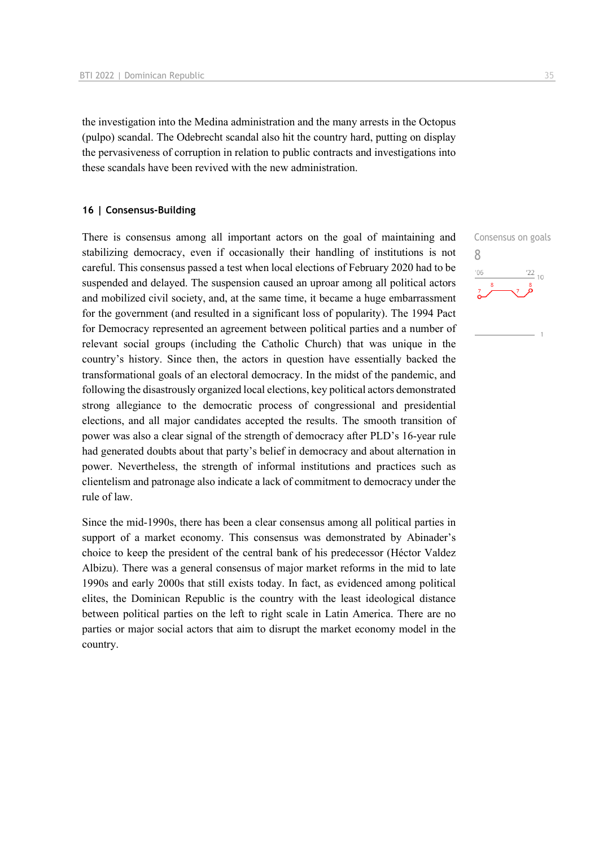the investigation into the Medina administration and the many arrests in the Octopus (pulpo) scandal. The Odebrecht scandal also hit the country hard, putting on display the pervasiveness of corruption in relation to public contracts and investigations into these scandals have been revived with the new administration.

#### **16 | Consensus-Building**

There is consensus among all important actors on the goal of maintaining and stabilizing democracy, even if occasionally their handling of institutions is not careful. This consensus passed a test when local elections of February 2020 had to be suspended and delayed. The suspension caused an uproar among all political actors and mobilized civil society, and, at the same time, it became a huge embarrassment for the government (and resulted in a significant loss of popularity). The 1994 Pact for Democracy represented an agreement between political parties and a number of relevant social groups (including the Catholic Church) that was unique in the country's history. Since then, the actors in question have essentially backed the transformational goals of an electoral democracy. In the midst of the pandemic, and following the disastrously organized local elections, key political actors demonstrated strong allegiance to the democratic process of congressional and presidential elections, and all major candidates accepted the results. The smooth transition of power was also a clear signal of the strength of democracy after PLD's 16-year rule had generated doubts about that party's belief in democracy and about alternation in power. Nevertheless, the strength of informal institutions and practices such as clientelism and patronage also indicate a lack of commitment to democracy under the rule of law.

Since the mid-1990s, there has been a clear consensus among all political parties in support of a market economy. This consensus was demonstrated by Abinader's choice to keep the president of the central bank of his predecessor (Héctor Valdez Albizu). There was a general consensus of major market reforms in the mid to late 1990s and early 2000s that still exists today. In fact, as evidenced among political elites, the Dominican Republic is the country with the least ideological distance between political parties on the left to right scale in Latin America. There are no parties or major social actors that aim to disrupt the market economy model in the country.

Consensus on goals 8 $-06$  $\frac{22}{10}$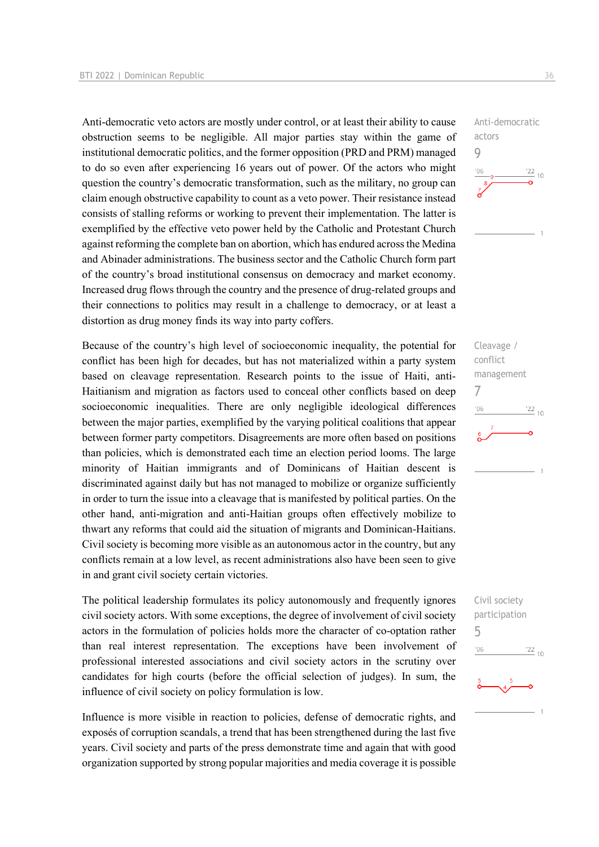Anti-democratic veto actors are mostly under control, or at least their ability to cause obstruction seems to be negligible. All major parties stay within the game of institutional democratic politics, and the former opposition (PRD and PRM) managed to do so even after experiencing 16 years out of power. Of the actors who might question the country's democratic transformation, such as the military, no group can claim enough obstructive capability to count as a veto power. Their resistance instead consists of stalling reforms or working to prevent their implementation. The latter is exemplified by the effective veto power held by the Catholic and Protestant Church against reforming the complete ban on abortion, which has endured across the Medina and Abinader administrations. The business sector and the Catholic Church form part of the country's broad institutional consensus on democracy and market economy. Increased drug flows through the country and the presence of drug-related groups and their connections to politics may result in a challenge to democracy, or at least a distortion as drug money finds its way into party coffers.

Because of the country's high level of socioeconomic inequality, the potential for conflict has been high for decades, but has not materialized within a party system based on cleavage representation. Research points to the issue of Haiti, anti-Haitianism and migration as factors used to conceal other conflicts based on deep socioeconomic inequalities. There are only negligible ideological differences between the major parties, exemplified by the varying political coalitions that appear between former party competitors. Disagreements are more often based on positions than policies, which is demonstrated each time an election period looms. The large minority of Haitian immigrants and of Dominicans of Haitian descent is discriminated against daily but has not managed to mobilize or organize sufficiently in order to turn the issue into a cleavage that is manifested by political parties. On the other hand, anti-migration and anti-Haitian groups often effectively mobilize to thwart any reforms that could aid the situation of migrants and Dominican-Haitians. Civil society is becoming more visible as an autonomous actor in the country, but any conflicts remain at a low level, as recent administrations also have been seen to give in and grant civil society certain victories.

The political leadership formulates its policy autonomously and frequently ignores civil society actors. With some exceptions, the degree of involvement of civil society actors in the formulation of policies holds more the character of co-optation rather than real interest representation. The exceptions have been involvement of professional interested associations and civil society actors in the scrutiny over candidates for high courts (before the official selection of judges). In sum, the influence of civil society on policy formulation is low.

Influence is more visible in reaction to policies, defense of democratic rights, and exposés of corruption scandals, a trend that has been strengthened during the last five years. Civil society and parts of the press demonstrate time and again that with good organization supported by strong popular majorities and media coverage it is possible Anti-democratic actors 9  $\frac{22}{10}$ 

Cleavage / conflict management 7  $\frac{22}{10}$  $'06$ 

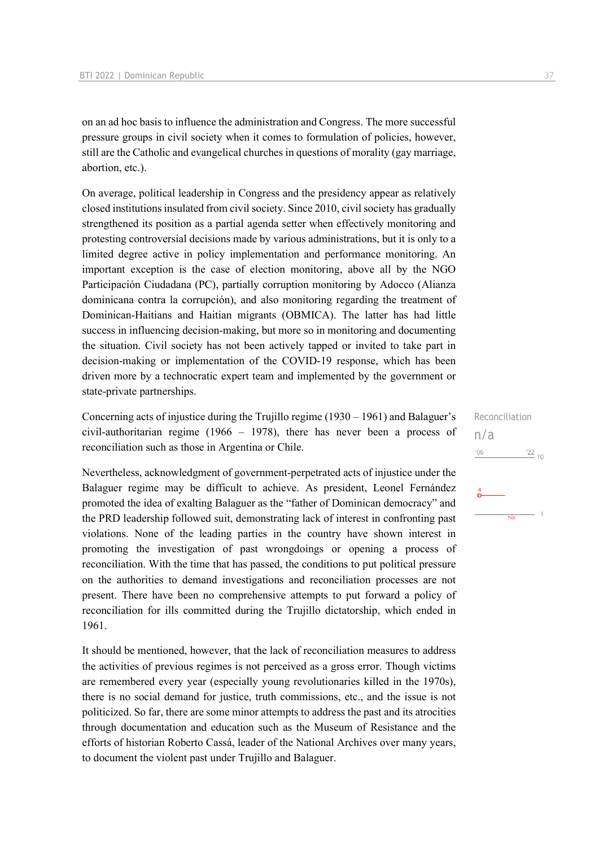on an ad hoc basis to influence the administration and Congress. The more successful pressure groups in civil society when it comes to formulation of policies, however, still are the Catholic and evangelical churches in questions of morality (gay marriage, abortion, etc.).

On average, political leadership in Congress and the presidency appear as relatively closed institutions insulated from civil society. Since 2010, civil society has gradually strengthened its position as a partial agenda setter when effectively monitoring and protesting controversial decisions made by various administrations, but it is only to a limited degree active in policy implementation and performance monitoring. An important exception is the case of election monitoring, above all by the NGO Participación Ciudadana (PC), partially corruption monitoring by Adocco (Alianza dominicana contra la corrupción), and also monitoring regarding the treatment of Dominican-Haitians and Haitian migrants (OBMICA). The latter has had little success in influencing decision-making, but more so in monitoring and documenting the situation. Civil society has not been actively tapped or invited to take part in decision-making or implementation of the COVID-19 response, which has been driven more by a technocratic expert team and implemented by the government or state-private partnerships.

Concerning acts of injustice during the Trujillo regime (1930 – 1961) and Balaguer's civil-authoritarian regime (1966 – 1978), there has never been a process of reconciliation such as those in Argentina or Chile.

Nevertheless, acknowledgment of government-perpetrated acts of injustice under the Balaguer regime may be difficult to achieve. As president, Leonel Fernández promoted the idea of exalting Balaguer as the "father of Dominican democracy" and the PRD leadership followed suit, demonstrating lack of interest in confronting past violations. None of the leading parties in the country have shown interest in promoting the investigation of past wrongdoings or opening a process of reconciliation. With the time that has passed, the conditions to put political pressure on the authorities to demand investigations and reconciliation processes are not present. There have been no comprehensive attempts to put forward a policy of reconciliation for ills committed during the Trujillo dictatorship, which ended in 1961.

It should be mentioned, however, that the lack of reconciliation measures to address the activities of previous regimes is not perceived as a gross error. Though victims are remembered every year (especially young revolutionaries killed in the 1970s), there is no social demand for justice, truth commissions, etc., and the issue is not politicized. So far, there are some minor attempts to address the past and its atrocities through documentation and education such as the Museum of Resistance and the efforts of historian Roberto Cassá, leader of the National Archives over many years, to document the violent past under Trujillo and Balaguer.

Reconciliation

 $\frac{22}{10}$ 

 $-1$ 

 $n/a$ 

n/a

'06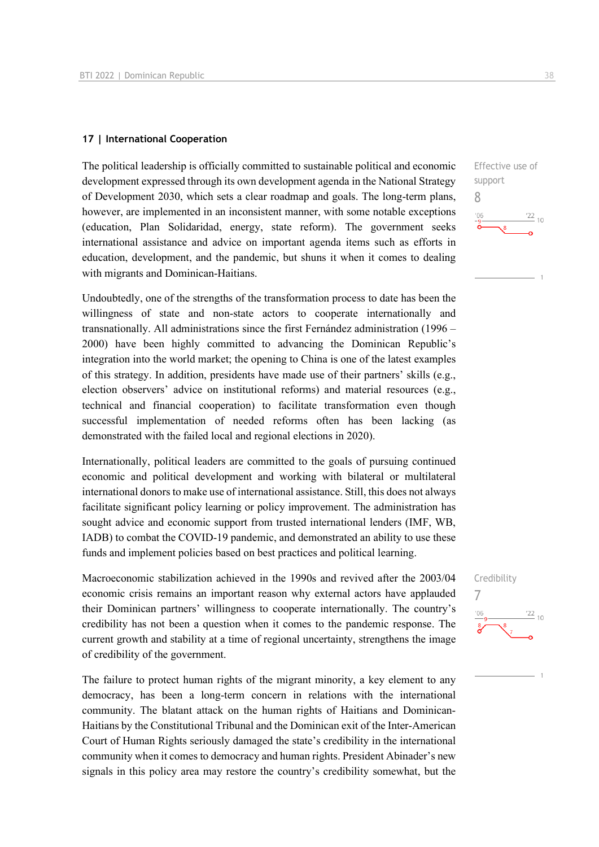#### **17 | International Cooperation**

The political leadership is officially committed to sustainable political and economic development expressed through its own development agenda in the National Strategy of Development 2030, which sets a clear roadmap and goals. The long-term plans, however, are implemented in an inconsistent manner, with some notable exceptions (education, Plan Solidaridad, energy, state reform). The government seeks international assistance and advice on important agenda items such as efforts in education, development, and the pandemic, but shuns it when it comes to dealing with migrants and Dominican-Haitians.

Undoubtedly, one of the strengths of the transformation process to date has been the willingness of state and non-state actors to cooperate internationally and transnationally. All administrations since the first Fernández administration (1996 – 2000) have been highly committed to advancing the Dominican Republic's integration into the world market; the opening to China is one of the latest examples of this strategy. In addition, presidents have made use of their partners' skills (e.g., election observers' advice on institutional reforms) and material resources (e.g., technical and financial cooperation) to facilitate transformation even though successful implementation of needed reforms often has been lacking (as demonstrated with the failed local and regional elections in 2020).

Internationally, political leaders are committed to the goals of pursuing continued economic and political development and working with bilateral or multilateral international donors to make use of international assistance. Still, this does not always facilitate significant policy learning or policy improvement. The administration has sought advice and economic support from trusted international lenders (IMF, WB, IADB) to combat the COVID-19 pandemic, and demonstrated an ability to use these funds and implement policies based on best practices and political learning.

Macroeconomic stabilization achieved in the 1990s and revived after the 2003/04 economic crisis remains an important reason why external actors have applauded their Dominican partners' willingness to cooperate internationally. The country's credibility has not been a question when it comes to the pandemic response. The current growth and stability at a time of regional uncertainty, strengthens the image of credibility of the government.

The failure to protect human rights of the migrant minority, a key element to any democracy, has been a long-term concern in relations with the international community. The blatant attack on the human rights of Haitians and Dominican-Haitians by the Constitutional Tribunal and the Dominican exit of the Inter-American Court of Human Rights seriously damaged the state's credibility in the international community when it comes to democracy and human rights. President Abinader's new signals in this policy area may restore the country's credibility somewhat, but the

Effective use of support 8  $\frac{22}{10}$ 

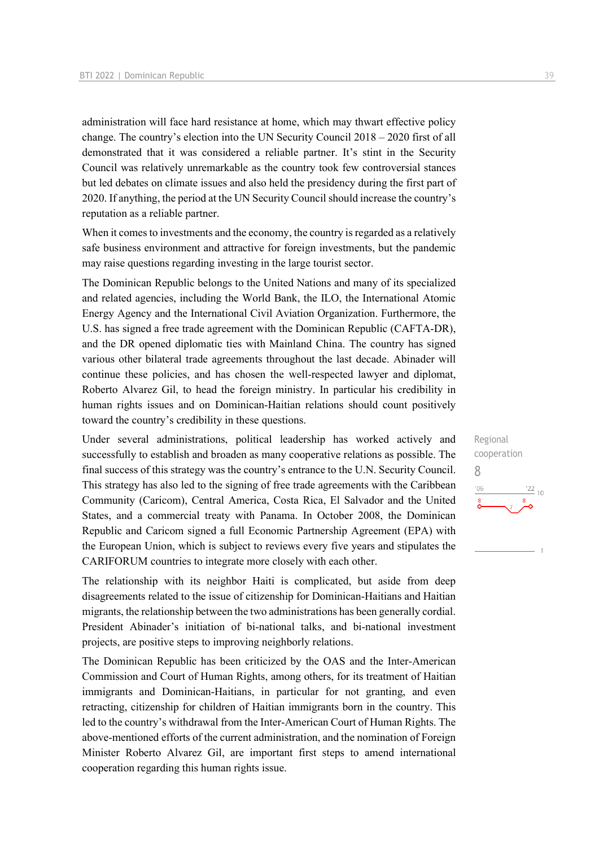administration will face hard resistance at home, which may thwart effective policy change. The country's election into the UN Security Council 2018 – 2020 first of all demonstrated that it was considered a reliable partner. It's stint in the Security Council was relatively unremarkable as the country took few controversial stances but led debates on climate issues and also held the presidency during the first part of 2020. If anything, the period at the UN Security Council should increase the country's reputation as a reliable partner.

When it comes to investments and the economy, the country is regarded as a relatively safe business environment and attractive for foreign investments, but the pandemic may raise questions regarding investing in the large tourist sector.

The Dominican Republic belongs to the United Nations and many of its specialized and related agencies, including the World Bank, the ILO, the International Atomic Energy Agency and the International Civil Aviation Organization. Furthermore, the U.S. has signed a free trade agreement with the Dominican Republic (CAFTA-DR), and the DR opened diplomatic ties with Mainland China. The country has signed various other bilateral trade agreements throughout the last decade. Abinader will continue these policies, and has chosen the well-respected lawyer and diplomat, Roberto Alvarez Gil, to head the foreign ministry. In particular his credibility in human rights issues and on Dominican-Haitian relations should count positively toward the country's credibility in these questions.

Under several administrations, political leadership has worked actively and successfully to establish and broaden as many cooperative relations as possible. The final success of this strategy was the country's entrance to the U.N. Security Council. This strategy has also led to the signing of free trade agreements with the Caribbean Community (Caricom), Central America, Costa Rica, El Salvador and the United States, and a commercial treaty with Panama. In October 2008, the Dominican Republic and Caricom signed a full Economic Partnership Agreement (EPA) with the European Union, which is subject to reviews every five years and stipulates the CARIFORUM countries to integrate more closely with each other.

The relationship with its neighbor Haiti is complicated, but aside from deep disagreements related to the issue of citizenship for Dominican-Haitians and Haitian migrants, the relationship between the two administrations has been generally cordial. President Abinader's initiation of bi-national talks, and bi-national investment projects, are positive steps to improving neighborly relations.

The Dominican Republic has been criticized by the OAS and the Inter-American Commission and Court of Human Rights, among others, for its treatment of Haitian immigrants and Dominican-Haitians, in particular for not granting, and even retracting, citizenship for children of Haitian immigrants born in the country. This led to the country's withdrawal from the Inter-American Court of Human Rights. The above-mentioned efforts of the current administration, and the nomination of Foreign Minister Roberto Alvarez Gil, are important first steps to amend international cooperation regarding this human rights issue.

Regional cooperation 8 $\frac{22}{10}$  $-06$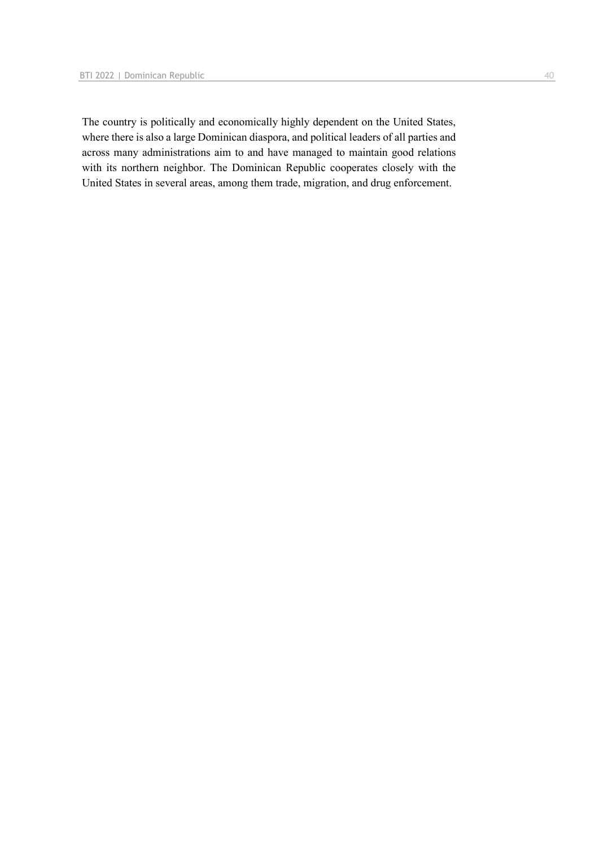The country is politically and economically highly dependent on the United States, where there is also a large Dominican diaspora, and political leaders of all parties and across many administrations aim to and have managed to maintain good relations with its northern neighbor. The Dominican Republic cooperates closely with the United States in several areas, among them trade, migration, and drug enforcement.